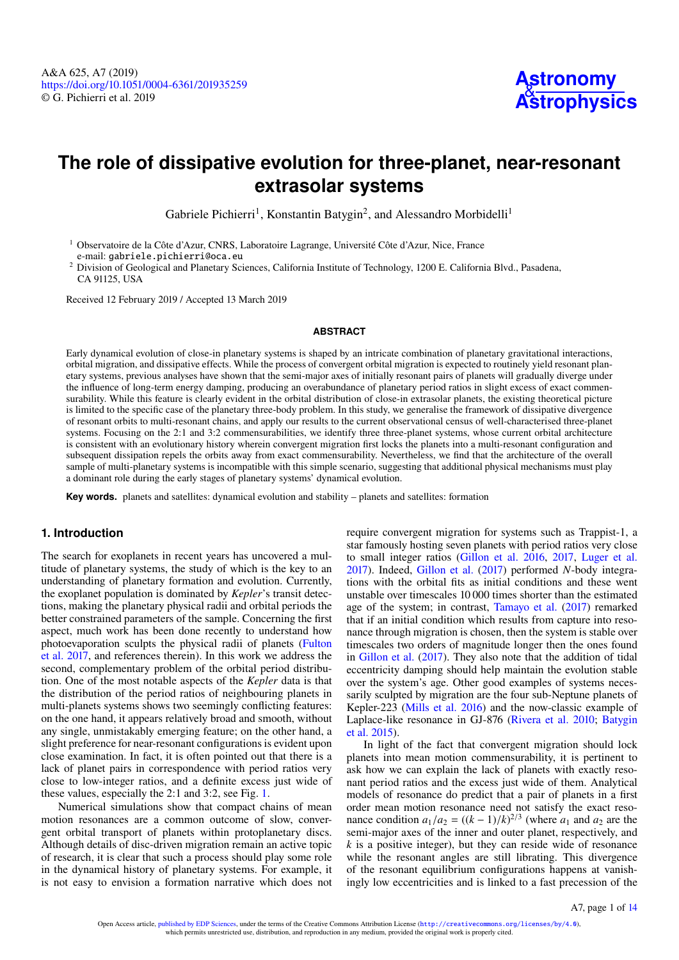# **The role of dissipative evolution for three-planet, near-resonant extrasolar systems**

Gabriele Pichierri<sup>[1](#page-0-0)</sup>, Konstantin Batygin<sup>[2](#page-0-1)</sup>, and Alessandro Morbidelli<sup>1</sup>

<span id="page-0-0"></span><sup>1</sup> Observatoire de la Côte d'Azur, CNRS, Laboratoire Lagrange, Université Côte d'Azur, Nice, France e-mail: [gabriele.pichierri@oca.eu](mailto:gabriele.pichierri@oca.eu)

<span id="page-0-1"></span><sup>2</sup> Division of Geological and Planetary Sciences, California Institute of Technology, 1200 E. California Blvd., Pasadena, CA 91125, USA

Received 12 February 2019 / Accepted 13 March 2019

#### **ABSTRACT**

Early dynamical evolution of close-in planetary systems is shaped by an intricate combination of planetary gravitational interactions, orbital migration, and dissipative effects. While the process of convergent orbital migration is expected to routinely yield resonant planetary systems, previous analyses have shown that the semi-major axes of initially resonant pairs of planets will gradually diverge under the influence of long-term energy damping, producing an overabundance of planetary period ratios in slight excess of exact commensurability. While this feature is clearly evident in the orbital distribution of close-in extrasolar planets, the existing theoretical picture is limited to the specific case of the planetary three-body problem. In this study, we generalise the framework of dissipative divergence of resonant orbits to multi-resonant chains, and apply our results to the current observational census of well-characterised three-planet systems. Focusing on the 2:1 and 3:2 commensurabilities, we identify three three-planet systems, whose current orbital architecture is consistent with an evolutionary history wherein convergent migration first locks the planets into a multi-resonant configuration and subsequent dissipation repels the orbits away from exact commensurability. Nevertheless, we find that the architecture of the overall sample of multi-planetary systems is incompatible with this simple scenario, suggesting that additional physical mechanisms must play a dominant role during the early stages of planetary systems' dynamical evolution.

**Key words.** planets and satellites: dynamical evolution and stability – planets and satellites: formation

# **1. Introduction**

The search for exoplanets in recent years has uncovered a multitude of planetary systems, the study of which is the key to an understanding of planetary formation and evolution. Currently, the exoplanet population is dominated by *Kepler*'s transit detections, making the planetary physical radii and orbital periods the better constrained parameters of the sample. Concerning the first aspect, much work has been done recently to understand how photoevaporation sculpts the physical radii of planets [\(Fulton](#page-12-0) [et al.](#page-12-0) [2017,](#page-12-0) and references therein). In this work we address the second, complementary problem of the orbital period distribution. One of the most notable aspects of the *Kepler* data is that the distribution of the period ratios of neighbouring planets in multi-planets systems shows two seemingly conflicting features: on the one hand, it appears relatively broad and smooth, without any single, unmistakably emerging feature; on the other hand, a slight preference for near-resonant configurations is evident upon close examination. In fact, it is often pointed out that there is a lack of planet pairs in correspondence with period ratios very close to low-integer ratios, and a definite excess just wide of these values, especially the 2:1 and 3:2, see Fig. [1.](#page-1-0)

Numerical simulations show that compact chains of mean motion resonances are a common outcome of slow, convergent orbital transport of planets within protoplanetary discs. Although details of disc-driven migration remain an active topic of research, it is clear that such a process should play some role in the dynamical history of planetary systems. For example, it is not easy to envision a formation narrative which does not

require convergent migration for systems such as Trappist-1, a star famously hosting seven planets with period ratios very close to small integer ratios [\(Gillon et al.](#page-12-1) [2016,](#page-12-1) [2017,](#page-12-2) [Luger et al.](#page-12-3) [2017\)](#page-12-3). Indeed, [Gillon et al.](#page-12-2) [\(2017\)](#page-12-2) performed *N*-body integrations with the orbital fits as initial conditions and these went unstable over timescales 10 000 times shorter than the estimated age of the system; in contrast, [Tamayo et al.](#page-12-4) [\(2017\)](#page-12-4) remarked that if an initial condition which results from capture into resonance through migration is chosen, then the system is stable over timescales two orders of magnitude longer then the ones found in [Gillon et al.](#page-12-2) [\(2017\)](#page-12-2). They also note that the addition of tidal eccentricity damping should help maintain the evolution stable over the system's age. Other good examples of systems necessarily sculpted by migration are the four sub-Neptune planets of Kepler-223 [\(Mills et al.](#page-12-5) [2016\)](#page-12-5) and the now-classic example of Laplace-like resonance in GJ-876 [\(Rivera et al.](#page-12-6) [2010;](#page-12-6) [Batygin](#page-12-7) [et al.](#page-12-7) [2015\)](#page-12-7).

In light of the fact that convergent migration should lock planets into mean motion commensurability, it is pertinent to ask how we can explain the lack of planets with exactly resonant period ratios and the excess just wide of them. Analytical models of resonance do predict that a pair of planets in a first order mean motion resonance need not satisfy the exact resonance condition  $a_1/a_2 = ((k - 1)/k)^{2/3}$  (where  $a_1$  and  $a_2$  are the semi-major axes of the inner and outer planet, respectively, and *k* is a positive integer), but they can reside wide of resonance while the resonant angles are still librating. This divergence of the resonant equilibrium configurations happens at vanishingly low eccentricities and is linked to a fast precession of the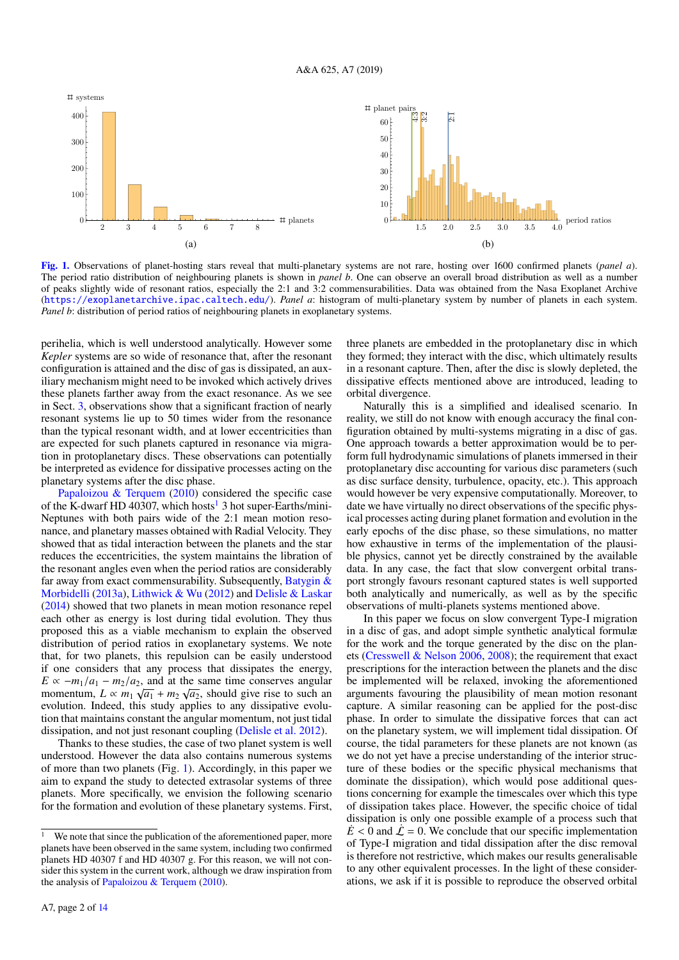

<span id="page-1-0"></span>[Fig. 1.](http://dexter.edpsciences.org/applet.php?DOI=10.1051/0004-6361/201935259&pdf_id=0) Observations of planet-hosting stars reveal that multi-planetary systems are not rare, hosting over 1600 confirmed planets (*panel a*). The period ratio distribution of neighbouring planets is shown in *panel b*. One can observe an overall broad distribution as well as a number of peaks slightly wide of resonant ratios, especially the 2:1 and 3:2 commensurabilities. Data was obtained from the Nasa Exoplanet Archive (<https://exoplanetarchive.ipac.caltech.edu/>). *Panel a*: histogram of multi-planetary system by number of planets in each system. *Panel b*: distribution of period ratios of neighbouring planets in exoplanetary systems.

perihelia, which is well understood analytically. However some *Kepler* systems are so wide of resonance that, after the resonant configuration is attained and the disc of gas is dissipated, an auxiliary mechanism might need to be invoked which actively drives these planets farther away from the exact resonance. As we see in Sect. [3,](#page-5-0) observations show that a significant fraction of nearly resonant systems lie up to 50 times wider from the resonance than the typical resonant width, and at lower eccentricities than are expected for such planets captured in resonance via migration in protoplanetary discs. These observations can potentially be interpreted as evidence for dissipative processes acting on the planetary systems after the disc phase.

[Papaloizou & Terquem](#page-12-8) [\(2010\)](#page-12-8) considered the specific case of the K-dwarf HD 40307, which hosts<sup>[1](#page-1-1)</sup> 3 hot super-Earths/mini-Neptunes with both pairs wide of the 2:1 mean motion resonance, and planetary masses obtained with Radial Velocity. They showed that as tidal interaction between the planets and the star reduces the eccentricities, the system maintains the libration of the resonant angles even when the period ratios are considerably far away from exact commensurability. Subsequently, [Batygin &](#page-12-9) [Morbidelli](#page-12-9) [\(2013a\)](#page-12-9), [Lithwick & Wu](#page-12-10) [\(2012\)](#page-12-10) and [Delisle & Laskar](#page-12-11) [\(2014\)](#page-12-11) showed that two planets in mean motion resonance repel each other as energy is lost during tidal evolution. They thus proposed this as a viable mechanism to explain the observed distribution of period ratios in exoplanetary systems. We note that, for two planets, this repulsion can be easily understood if one considers that any process that dissipates the energy,  $E \propto -m_1/a_1 - m_2/a_2$ , and at the same time conserves angular momentum,  $L \propto m_1 \sqrt{a_1} + m_2 \sqrt{a_2}$ , should give rise to such an evolution. Indeed, this study applies to any dissipative evolution that maintains constant the angular momentum, not just tidal dissipation, and not just resonant coupling [\(Delisle et al.](#page-12-12) [2012\)](#page-12-12).

Thanks to these studies, the case of two planet system is well understood. However the data also contains numerous systems of more than two planets (Fig. [1\)](#page-1-0). Accordingly, in this paper we aim to expand the study to detected extrasolar systems of three planets. More specifically, we envision the following scenario for the formation and evolution of these planetary systems. First, three planets are embedded in the protoplanetary disc in which they formed; they interact with the disc, which ultimately results in a resonant capture. Then, after the disc is slowly depleted, the dissipative effects mentioned above are introduced, leading to orbital divergence.

Naturally this is a simplified and idealised scenario. In reality, we still do not know with enough accuracy the final configuration obtained by multi-systems migrating in a disc of gas. One approach towards a better approximation would be to perform full hydrodynamic simulations of planets immersed in their protoplanetary disc accounting for various disc parameters (such as disc surface density, turbulence, opacity, etc.). This approach would however be very expensive computationally. Moreover, to date we have virtually no direct observations of the specific physical processes acting during planet formation and evolution in the early epochs of the disc phase, so these simulations, no matter how exhaustive in terms of the implementation of the plausible physics, cannot yet be directly constrained by the available data. In any case, the fact that slow convergent orbital transport strongly favours resonant captured states is well supported both analytically and numerically, as well as by the specific observations of multi-planets systems mentioned above.

In this paper we focus on slow convergent Type-I migration in a disc of gas, and adopt simple synthetic analytical formulæ for the work and the torque generated by the disc on the planets [\(Cresswell & Nelson](#page-12-13) [2006,](#page-12-13) [2008\)](#page-12-14); the requirement that exact prescriptions for the interaction between the planets and the disc be implemented will be relaxed, invoking the aforementioned arguments favouring the plausibility of mean motion resonant capture. A similar reasoning can be applied for the post-disc phase. In order to simulate the dissipative forces that can act on the planetary system, we will implement tidal dissipation. Of course, the tidal parameters for these planets are not known (as we do not yet have a precise understanding of the interior structure of these bodies or the specific physical mechanisms that dominate the dissipation), which would pose additional questions concerning for example the timescales over which this type of dissipation takes place. However, the specific choice of tidal dissipation is only one possible example of a process such that  $\dot{E}$  < 0 and  $\dot{\mathcal{L}}$  = 0. We conclude that our specific implementation of Type-I migration and tidal dissipation after the disc removal is therefore not restrictive, which makes our results generalisable to any other equivalent processes. In the light of these considerations, we ask if it is possible to reproduce the observed orbital

<span id="page-1-1"></span>We note that since the publication of the aforementioned paper, more planets have been observed in the same system, including two confirmed planets HD 40307 f and HD 40307 g. For this reason, we will not consider this system in the current work, although we draw inspiration from the analysis of [Papaloizou & Terquem](#page-12-8) [\(2010\)](#page-12-8).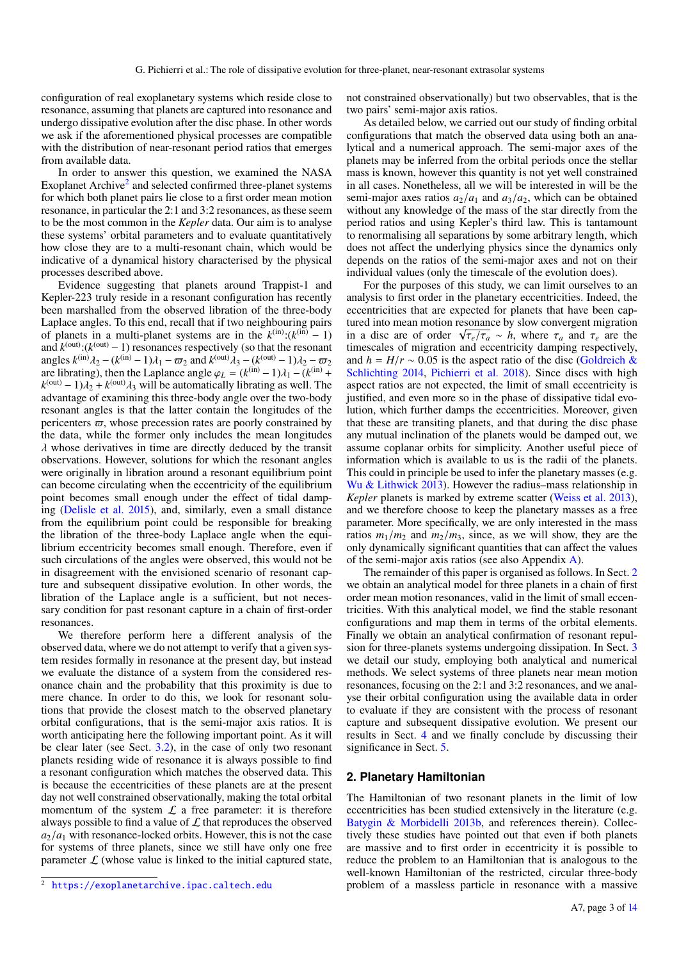configuration of real exoplanetary systems which reside close to resonance, assuming that planets are captured into resonance and undergo dissipative evolution after the disc phase. In other words we ask if the aforementioned physical processes are compatible with the distribution of near-resonant period ratios that emerges from available data.

In order to answer this question, we examined the NASA Exoplanet Archive<sup>[2](#page-2-0)</sup> and selected confirmed three-planet systems for which both planet pairs lie close to a first order mean motion resonance, in particular the 2:1 and 3:2 resonances, as these seem to be the most common in the *Kepler* data. Our aim is to analyse these systems' orbital parameters and to evaluate quantitatively how close they are to a multi-resonant chain, which would be indicative of a dynamical history characterised by the physical processes described above.

Evidence suggesting that planets around Trappist-1 and Kepler-223 truly reside in a resonant configuration has recently been marshalled from the observed libration of the three-body Laplace angles. To this end, recall that if two neighbouring pairs of planets in a multi-planet systems are in the  $k^{(in)}$ : $(k^{(in)} - 1)$ and  $k^{(\text{out})}$ : $(k^{(\text{out})} - 1)$  resonances respectively (so that the resonant angles  $k^{(\text{in})}\lambda_2 - (k^{(\text{in})}-1)\lambda_1 - \varpi_2$  and  $k^{(\text{out})}\lambda_3 - (k^{(\text{out})}-1)\lambda_2 - \varpi_2$ are librating), then the Laplance angle  $\varphi_L = (k^{(\text{in})} - 1)\lambda_1 - (k^{(\text{in})} + 1)\lambda_2$  $k^{\text{(out)}} - 1\lambda_2 + k^{\text{(out)}}\lambda_3$  will be automatically librating as well. The advantage of examining this three-body angle over the two-body resonant angles is that the latter contain the longitudes of the pericenters  $\varpi$ , whose precession rates are poorly constrained by the data, while the former only includes the mean longitudes  $\lambda$  whose derivatives in time are directly deduced by the transit observations. However, solutions for which the resonant angles were originally in libration around a resonant equilibrium point can become circulating when the eccentricity of the equilibrium point becomes small enough under the effect of tidal damping [\(Delisle et al.](#page-12-15) [2015\)](#page-12-15), and, similarly, even a small distance from the equilibrium point could be responsible for breaking the libration of the three-body Laplace angle when the equilibrium eccentricity becomes small enough. Therefore, even if such circulations of the angles were observed, this would not be in disagreement with the envisioned scenario of resonant capture and subsequent dissipative evolution. In other words, the libration of the Laplace angle is a sufficient, but not necessary condition for past resonant capture in a chain of first-order resonances.

We therefore perform here a different analysis of the observed data, where we do not attempt to verify that a given system resides formally in resonance at the present day, but instead we evaluate the distance of a system from the considered resonance chain and the probability that this proximity is due to mere chance. In order to do this, we look for resonant solutions that provide the closest match to the observed planetary orbital configurations, that is the semi-major axis ratios. It is worth anticipating here the following important point. As it will be clear later (see Sect. [3.2\)](#page-7-0), in the case of only two resonant planets residing wide of resonance it is always possible to find a resonant configuration which matches the observed data. This is because the eccentricities of these planets are at the present day not well constrained observationally, making the total orbital momentum of the system  $\mathcal L$  a free parameter: it is therefore always possible to find a value of  $\mathcal L$  that reproduces the observed  $a_2/a_1$  with resonance-locked orbits. However, this is not the case for systems of three planets, since we still have only one free parameter  $\mathcal L$  (whose value is linked to the initial captured state,

not constrained observationally) but two observables, that is the two pairs' semi-major axis ratios.

As detailed below, we carried out our study of finding orbital configurations that match the observed data using both an analytical and a numerical approach. The semi-major axes of the planets may be inferred from the orbital periods once the stellar mass is known, however this quantity is not yet well constrained in all cases. Nonetheless, all we will be interested in will be the semi-major axes ratios  $a_2/a_1$  and  $a_3/a_2$ , which can be obtained without any knowledge of the mass of the star directly from the period ratios and using Kepler's third law. This is tantamount to renormalising all separations by some arbitrary length, which does not affect the underlying physics since the dynamics only depends on the ratios of the semi-major axes and not on their individual values (only the timescale of the evolution does).

For the purposes of this study, we can limit ourselves to an analysis to first order in the planetary eccentricities. Indeed, the eccentricities that are expected for planets that have been captured into mean motion resonance by slow convergent migration in a disc are of order  $\sqrt{\tau_e/\tau_a} \sim h$ , where  $\tau_a$  and  $\tau_e$  are the timescales of migration and eccentricity damping respectively, and  $h = H/r \sim 0.05$  is the aspect ratio of the disc [\(Goldreich &](#page-12-16) [Schlichting](#page-12-16) [2014,](#page-12-16) [Pichierri et al.](#page-12-17) [2018\)](#page-12-17). Since discs with high aspect ratios are not expected, the limit of small eccentricity is justified, and even more so in the phase of dissipative tidal evolution, which further damps the eccentricities. Moreover, given that these are transiting planets, and that during the disc phase any mutual inclination of the planets would be damped out, we assume coplanar orbits for simplicity. Another useful piece of information which is available to us is the radii of the planets. This could in principle be used to infer the planetary masses (e.g. [Wu & Lithwick](#page-12-18) [2013\)](#page-12-18). However the radius–mass relationship in *Kepler* planets is marked by extreme scatter [\(Weiss et al.](#page-12-19) [2013\)](#page-12-19), and we therefore choose to keep the planetary masses as a free parameter. More specifically, we are only interested in the mass ratios  $m_1/m_2$  and  $m_2/m_3$ , since, as we will show, they are the only dynamically significant quantities that can affect the values of the semi-major axis ratios (see also Appendix [A\)](#page-13-1).

The remainder of this paper is organised as follows. In Sect. [2](#page-2-1) we obtain an analytical model for three planets in a chain of first order mean motion resonances, valid in the limit of small eccentricities. With this analytical model, we find the stable resonant configurations and map them in terms of the orbital elements. Finally we obtain an analytical confirmation of resonant repulsion for three-planets systems undergoing dissipation. In Sect. [3](#page-5-0) we detail our study, employing both analytical and numerical methods. We select systems of three planets near mean motion resonances, focusing on the 2:1 and 3:2 resonances, and we analyse their orbital configuration using the available data in order to evaluate if they are consistent with the process of resonant capture and subsequent dissipative evolution. We present our results in Sect. [4](#page-10-0) and we finally conclude by discussing their significance in Sect. [5.](#page-11-0)

#### <span id="page-2-1"></span>**2. Planetary Hamiltonian**

The Hamiltonian of two resonant planets in the limit of low eccentricities has been studied extensively in the literature (e.g. [Batygin & Morbidelli](#page-12-20) [2013b,](#page-12-20) and references therein). Collectively these studies have pointed out that even if both planets are massive and to first order in eccentricity it is possible to reduce the problem to an Hamiltonian that is analogous to the well-known Hamiltonian of the restricted, circular three-body problem of a massless particle in resonance with a massive

<span id="page-2-0"></span><sup>2</sup> <https://exoplanetarchive.ipac.caltech.edu>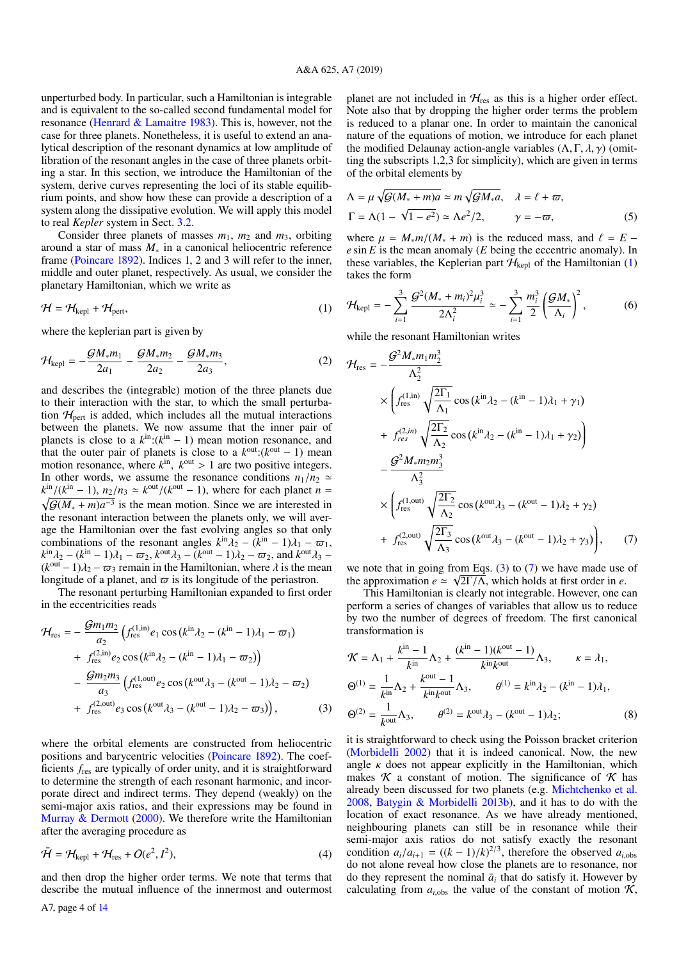unperturbed body. In particular, such a Hamiltonian is integrable and is equivalent to the so-called second fundamental model for resonance [\(Henrard & Lamaitre](#page-12-21) [1983\)](#page-12-21). This is, however, not the case for three planets. Nonetheless, it is useful to extend an analytical description of the resonant dynamics at low amplitude of libration of the resonant angles in the case of three planets orbiting a star. In this section, we introduce the Hamiltonian of the system, derive curves representing the loci of its stable equilibrium points, and show how these can provide a description of a system along the dissipative evolution. We will apply this model to real *Kepler* system in Sect. [3.2.](#page-7-0)

Consider three planets of masses  $m_1$ ,  $m_2$  and  $m_3$ , orbiting around a star of mass *M*<sup>∗</sup> in a canonical heliocentric reference frame [\(Poincare](#page-12-22) [1892\)](#page-12-22). Indices 1, 2 and 3 will refer to the inner, middle and outer planet, respectively. As usual, we consider the planetary Hamiltonian, which we write as

$$
\mathcal{H} = \mathcal{H}_{\text{kepl}} + \mathcal{H}_{\text{pert}},\tag{1}
$$

where the keplerian part is given by

$$
\mathcal{H}_{\text{kepl}} = -\frac{\mathcal{G}M_{*}m_1}{2a_1} - \frac{\mathcal{G}M_{*}m_2}{2a_2} - \frac{\mathcal{G}M_{*}m_3}{2a_3},\tag{2}
$$

and describes the (integrable) motion of the three planets due to their interaction with the star, to which the small perturbation  $H_{\text{pert}}$  is added, which includes all the mutual interactions between the planets. We now assume that the inner pair of planets is close to a  $k^{\text{in}}$ :( $k^{\text{in}} - 1$ ) mean motion resonance, and that the outer pair of planets is close to a  $k^{\text{out}}$ : $(k^{\text{out}} - 1)$  mean motion resonance, where  $k^{\text{in}}$ ,  $k^{\text{out}} > 1$  are two positive integers. In other words, we assume the resonance conditions  $n_1/n_2 \simeq$  $k^{\text{in}}/(k^{\text{in}} - 1)$ ,  $n_2/n_3 \simeq k^{\text{out}}/(k^{\text{out}} - 1)$ , where for each planet *n* =  $\sqrt{G(M_* + m)a^{-3}}$  is the mean motion. Since we are interested in  $G(M_* + m)a^{-3}$  is the mean motion. Since we are interested in the resonant interaction between the planets only, we will average the Hamiltonian over the fast evolving angles so that only combinations of the resonant angles  $k^{\text{in}}\lambda_2 - (k^{\text{in}} - 1)\lambda_1 - \varpi_1$ ,  $k^{\text{in}}\lambda_2 - (k^{\text{in}} - 1)\lambda_1 - \varpi_2$ ,  $k^{\text{out}}\lambda_3 - (k^{\text{out}} - 1)\lambda_2 - \varpi_2$ , and  $k^{\text{out}}\lambda_3 (k^{\text{out}} - 1)\lambda_2 - \varpi_3$  remain in the Hamiltonian, where  $\lambda$  is the mean longitude of a planet, and  $\varpi$  is its longitude of the periastron.

The resonant perturbing Hamiltonian expanded to first order in the eccentricities reads

$$
\mathcal{H}_{\text{res}} = -\frac{\mathcal{G}m_1m_2}{a_2} \left( f_{\text{res}}^{(1,\text{in})} e_1 \cos (k^{\text{in}} \lambda_2 - (k^{\text{in}} - 1) \lambda_1 - \varpi_1) + f_{\text{res}}^{(2,\text{in})} e_2 \cos (k^{\text{in}} \lambda_2 - (k^{\text{in}} - 1) \lambda_1 - \varpi_2) \right) - \frac{\mathcal{G}m_2m_3}{a_3} \left( f_{\text{res}}^{(1,\text{out})} e_2 \cos (k^{\text{out}} \lambda_3 - (k^{\text{out}} - 1) \lambda_2 - \varpi_2) + f_{\text{res}}^{(2,\text{out})} e_3 \cos (k^{\text{out}} \lambda_3 - (k^{\text{out}} - 1) \lambda_2 - \varpi_3) \right),
$$
\n(3)

where the orbital elements are constructed from heliocentric positions and barycentric velocities [\(Poincare](#page-12-22) [1892\)](#page-12-22). The coefficients *f*res are typically of order unity, and it is straightforward to determine the strength of each resonant harmonic, and incorporate direct and indirect terms. They depend (weakly) on the semi-major axis ratios, and their expressions may be found in [Murray & Dermott](#page-12-23) [\(2000\)](#page-12-23). We therefore write the Hamiltonian after the averaging procedure as

$$
\bar{\mathcal{H}} = \mathcal{H}_{\text{kepl}} + \mathcal{H}_{\text{res}} + O(e^2, I^2),\tag{4}
$$

and then drop the higher order terms. We note that terms that describe the mutual influence of the innermost and outermost planet are not included in  $H_{res}$  as this is a higher order effect. Note also that by dropping the higher order terms the problem is reduced to a planar one. In order to maintain the canonical nature of the equations of motion, we introduce for each planet the modified Delaunay action-angle variables  $(\Lambda, \Gamma, \lambda, \gamma)$  (omitting the subscripts 1,2,3 for simplicity), which are given in terms of the orbital elements by

<span id="page-3-3"></span>
$$
\Lambda = \mu \sqrt{\mathcal{G}(M_* + m)a} \simeq m \sqrt{\mathcal{G}M_*a}, \quad \lambda = \ell + \varpi,
$$
  

$$
\Gamma = \Lambda(1 - \sqrt{1 - e^2}) \simeq \Lambda e^2/2, \qquad \gamma = -\varpi,
$$
 (5)

where  $\mu = M_* m / (M_* + m)$  is the reduced mass, and  $\ell = E$ *e* sin *E* is the mean anomaly (*E* being the eccentric anomaly). In these variables, the Keplerian part  $\mathcal{H}_{\text{kepl}}$  of the Hamiltonian [\(1\)](#page-3-0) takes the form

<span id="page-3-4"></span><span id="page-3-0"></span>
$$
\mathcal{H}_{\text{kepl}} = -\sum_{i=1}^{3} \frac{\mathcal{G}^2 (M_* + m_i)^2 \mu_i^3}{2 \Lambda_i^2} \simeq -\sum_{i=1}^{3} \frac{m_i^3}{2} \left( \frac{\mathcal{G} M_*}{\Lambda_i} \right)^2, \tag{6}
$$

while the resonant Hamiltonian writes

<span id="page-3-2"></span>
$$
\mathcal{H}_{res} = -\frac{\mathcal{G}^2 M_* m_1 m_2^3}{\Lambda_2^2} \times \left( f_{res}^{(1,in)} \sqrt{\frac{2\Gamma_1}{\Lambda_1}} \cos (k^{in} \lambda_2 - (k^{in} - 1)\lambda_1 + \gamma_1) \n+ f_{res}^{(2,in)} \sqrt{\frac{2\Gamma_2}{\Lambda_2}} \cos (k^{in} \lambda_2 - (k^{in} - 1)\lambda_1 + \gamma_2) \right) \n- \frac{\mathcal{G}^2 M_* m_2 m_3^3}{\Lambda_3^2} \n\times \left( f_{res}^{(1,out)} \sqrt{\frac{2\Gamma_2}{\Lambda_2}} \cos (k^{out} \lambda_3 - (k^{out} - 1)\lambda_2 + \gamma_2) \n+ f_{res}^{(2,out)} \sqrt{\frac{2\Gamma_3}{\Lambda_3}} \cos (k^{out} \lambda_3 - (k^{out} - 1)\lambda_2 + \gamma_3) \right), \quad (7)
$$

we note that in going from Eqs.  $(3)$  to  $(7)$  we have made use of the approximation  $e \simeq \sqrt{2\Gamma/\Lambda}$ , which holds at first order in *e*.

This Hamiltonian is clearly not integrable. However, one can perform a series of changes of variables that allow us to reduce by two the number of degrees of freedom. The first canonical transformation is

$$
\mathcal{K} = \Lambda_1 + \frac{k^{\text{in}} - 1}{k^{\text{in}}} \Lambda_2 + \frac{(k^{\text{in}} - 1)(k^{\text{out}} - 1)}{k^{\text{in}} k^{\text{out}}} \Lambda_3, \qquad \kappa = \lambda_1,
$$
  
\n
$$
\Theta^{(1)} = \frac{1}{k^{\text{in}}} \Lambda_2 + \frac{k^{\text{out}} - 1}{k^{\text{in}} k^{\text{out}}} \Lambda_3, \qquad \theta^{(1)} = k^{\text{in}} \lambda_2 - (k^{\text{in}} - 1) \lambda_1,
$$
  
\n
$$
\Theta^{(2)} = \frac{1}{k^{\text{out}}} \Lambda_3, \qquad \theta^{(2)} = k^{\text{out}} \lambda_3 - (k^{\text{out}} - 1) \lambda_2;
$$
\n(8)

<span id="page-3-1"></span>it is straightforward to check using the Poisson bracket criterion [\(Morbidelli](#page-12-24) [2002\)](#page-12-24) that it is indeed canonical. Now, the new angle  $\kappa$  does not appear explicitly in the Hamiltonian, which makes  $\kappa$  a constant of motion. The significance of  $\kappa$  has already been discussed for two planets (e.g. [Michtchenko et al.](#page-12-25) [2008,](#page-12-25) [Batygin & Morbidelli](#page-12-20) [2013b\)](#page-12-20), and it has to do with the location of exact resonance. As we have already mentioned, neighbouring planets can still be in resonance while their semi-major axis ratios do not satisfy exactly the resonant condition  $a_i/a_{i+1} = ((k-1)/k)^{2/3}$ , therefore the observed  $a_{i,obs}$ do not alone reveal how close the planets are to resonance, nor do they represent the nominal  $\bar{a}_i$  that do satisfy it. However by calculating from  $a_{i,obs}$  the value of the constant of motion  $\mathcal{K}$ ,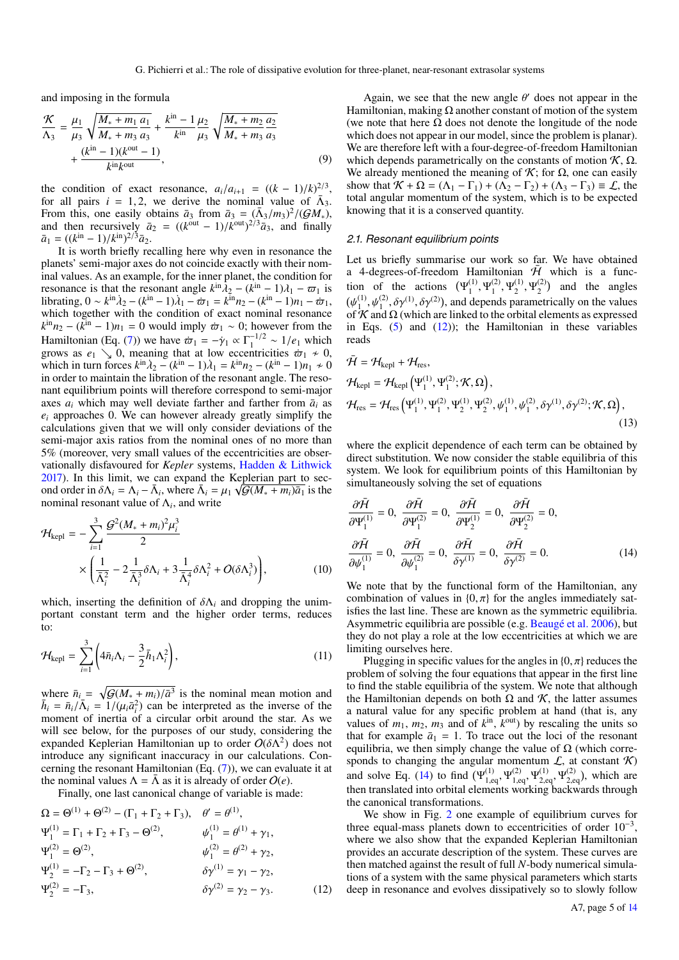and imposing in the formula

$$
\frac{\mathcal{K}}{\Lambda_3} = \frac{\mu_1}{\mu_3} \sqrt{\frac{M_* + m_1 a_1}{M_* + m_3 a_3}} + \frac{k^{\text{in}} - 1}{k^{\text{in}}} \frac{\mu_2}{\mu_3} \sqrt{\frac{M_* + m_2 a_2}{M_* + m_3 a_3}} + \frac{(k^{\text{in}} - 1)(k^{\text{out}} - 1)}{k^{\text{in}} k^{\text{out}}},
$$
\n(9)

the condition of exact resonance,  $a_i/a_{i+1} = ((k-1)/k)^{2/3}$ , for all pairs  $i = 1, 2$ , we derive the nominal value of  $\bar{\Lambda}_3$ . From this, one easily obtains  $\bar{a}_3$  from  $\bar{a}_3 = (\bar{\Lambda}_3/m_3)^2/(GM_*)$ , and then recursively  $\bar{a}_2 = ((k^{\text{out}} - 1)/k^{\text{out}})^{2/3} \bar{a}_3$ , and finally  $\bar{a}_1 = \frac{((k^{\text{in}} - 1)/k^{\text{in}})^{2/3} \bar{a}_2}{(k^{\text{in}} - 1)^{1/3}}$ .

It is worth briefly recalling here why even in resonance the planets' semi-major axes do not coincide exactly with their nominal values. As an example, for the inner planet, the condition for resonance is that the resonant angle  $k^{\text{in}}\overline{\lambda}_2 - (k^{\text{in}} - 1)\lambda_1 - \overline{\omega}_1$  is librating, 0 ∼  $k^{\text{in}}\lambda_2 - (k^{\text{in}} - 1)\lambda_1 - \omega_1 = k^{\text{in}}n_2 - (k^{\text{in}} - 1)n_1 - \omega_1$ , which together with the condition of exact nominal resonance  $k^{\text{in}}n_2 - (k^{\text{in}} - 1)n_1 = 0$  would imply  $\dot{\varpi}_1 \sim 0$ ; however from the Hamiltonian (Eq. [\(7\)](#page-3-2)) we have  $\bar{\omega}_1 = -\gamma_1 \propto \Gamma_1^{-1/2} \sim 1/e_1$  which grows as  $e_1 \searrow 0$ , meaning that at low eccentricities  $\dot{\varpi}_1 \neq 0$ , which in turn forces  $k^{\text{in}}\lambda_2 - (k^{\text{in}} - 1)\lambda_1 = k^{\text{in}}n_2 - (k^{\text{in}} - 1)n_1 \neq 0$ in order to maintain the libration of the resonant angle. The resonant equilibrium points will therefore correspond to semi-major axes  $a_i$  which may well deviate farther and farther from  $\bar{a}_i$  as  $e_i$  approaches 0. We can however already greatly simplify the calculations given that we will only consider deviations of the semi-major axis ratios from the nominal ones of no more than 5% (moreover, very small values of the eccentricities are observationally disfavoured for *Kepler* systems, [Hadden & Lithwick](#page-12-26) [2017\)](#page-12-26). In this limit, we can expand the Keplerian part to second order in  $δΛ<sub>i</sub> = Λ<sub>i</sub> - Ā<sub>i</sub>$ , where  $\bar{Λ}<sub>i</sub> = μ<sub>1</sub> \sqrt{G(M<sub>*</sub> + m<sub>i</sub>)\bar{a}<sub>1</sub>}$  is the nominal resonant value of  $\Lambda$ <sub>*i*</sub>, and write

$$
\mathcal{H}_{\text{kepl}} = -\sum_{i=1}^{3} \frac{\mathcal{G}^2 (M_* + m_i)^2 \mu_i^3}{2} \times \left( \frac{1}{\bar{\Lambda}_i^2} - 2 \frac{1}{\bar{\Lambda}_i^3} \delta \Lambda_i + 3 \frac{1}{\bar{\Lambda}_i^4} \delta \Lambda_i^2 + O(\delta \Lambda_i^3) \right), \tag{10}
$$

<span id="page-4-2"></span>which, inserting the definition of  $\delta \Lambda_i$  and dropping the unimportant constant term and the higher order terms, reduces to:

$$
\mathcal{H}_{\text{kepl}} = \sum_{i=1}^{3} \left( 4\bar{n}_i \Lambda_i - \frac{3}{2} \bar{h}_1 \Lambda_i^2 \right),\tag{11}
$$

where  $\bar{n}_i = \sqrt{\mathcal{G}(M_* + m_i)/\bar{a}^3}$  is the nominal mean motion and  $\bar{h}_i = \bar{n}_i/\bar{\Lambda}_i = 1/(\mu_i \bar{a}_i^2)$  can be interpreted as the inverse of the moment of inertia of a circular orbit around the star. As we will see below, for the purposes of our study, considering the expanded Keplerian Hamiltonian up to order  $O(\delta\Lambda^2)$  does not introduce any significant inaccuracy in our calculations. Concerning the resonant Hamiltonian (Eq. [\(7\)](#page-3-2)), we can evaluate it at the nominal values  $\Lambda = \overline{\Lambda}$  as it is already of order  $O(e)$ .

Finally, one last canonical change of variable is made:

$$
\Omega = \Theta^{(1)} + \Theta^{(2)} - (\Gamma_1 + \Gamma_2 + \Gamma_3), \quad \theta' = \theta^{(1)},
$$
  
\n
$$
\Psi_1^{(1)} = \Gamma_1 + \Gamma_2 + \Gamma_3 - \Theta^{(2)}, \qquad \psi_1^{(1)} = \theta^{(1)} + \gamma_1,
$$
  
\n
$$
\Psi_1^{(2)} = \Theta^{(2)}, \qquad \psi_1^{(2)} = \theta^{(2)} + \gamma_2,
$$
  
\n
$$
\Psi_2^{(1)} = -\Gamma_2 - \Gamma_3 + \Theta^{(2)}, \qquad \delta \gamma^{(1)} = \gamma_1 - \gamma_2,
$$
  
\n
$$
\Psi_2^{(2)} = -\Gamma_3, \qquad \delta \gamma^{(2)} = \gamma_2 - \gamma_3.
$$
\n(12)

Again, we see that the new angle  $\theta'$  does not appear in the Hamiltonian, making  $\Omega$  another constant of motion of the system (we note that here  $\Omega$  does not denote the longitude of the node which does not appear in our model, since the problem is planar). We are therefore left with a four-degree-of-freedom Hamiltonian which depends parametrically on the constants of motion  $K$ ,  $\Omega$ . We already mentioned the meaning of  $\mathcal{K}$ ; for  $\Omega$ , one can easily show that  $\mathcal{K} + \Omega = (\Lambda_1 - \Gamma_1) + (\Lambda_2 - \Gamma_2) + (\Lambda_3 - \Gamma_3) \equiv \mathcal{L}$ , the total angular momentum of the system, which is to be expected knowing that it is a conserved quantity.

#### <span id="page-4-4"></span>*2.1. Resonant equilibrium points*

Let us briefly summarise our work so far. We have obtained a 4-degrees-of-freedom Hamiltonian  $\bar{\mathcal{H}}$  which is a function of the actions  $(\Psi_1^{(1)})$  $\mathbf{Y}_1^{(1)}, \mathbf{Y}_1^{(2)}$  $\mathbf{Y}_1^{(2)}, \mathbf{Y}_2^{(1)}$  $\mathbf{Y}_2^{(1)}, \mathbf{Y}_2^{(2)}$  $2^{(2)}$  and the angles  $(\psi_1^{(1)}$  $\psi_1^{(1)}, \psi_1^{(2)}, \delta \gamma^{(1)}, \delta \gamma^{(2)}$ , and depends parametrically on the values of  $K$  and  $\Omega$  (which are linked to the orbital elements as expressed in Eqs.  $(5)$  and  $(12)$ ; the Hamiltonian in these variables reads

<span id="page-4-3"></span>
$$
\tilde{\mathcal{H}} = \mathcal{H}_{\text{kepl}} + \mathcal{H}_{\text{res}},
$$
\n
$$
\mathcal{H}_{\text{kepl}} = \mathcal{H}_{\text{kepl}} \left( \Psi_1^{(1)}, \Psi_1^{(2)}; \mathcal{K}, \Omega \right),
$$
\n
$$
\mathcal{H}_{\text{res}} = \mathcal{H}_{\text{res}} \left( \Psi_1^{(1)}, \Psi_1^{(2)}, \Psi_2^{(1)}, \Psi_2^{(2)}, \psi_1^{(1)}, \psi_1^{(2)}, \delta \gamma^{(1)}, \delta \gamma^{(2)}; \mathcal{K}, \Omega \right),
$$
\n(13)

where the explicit dependence of each term can be obtained by direct substitution. We now consider the stable equilibria of this system. We look for equilibrium points of this Hamiltonian by simultaneously solving the set of equations

<span id="page-4-1"></span>
$$
\frac{\partial \bar{\mathcal{H}}}{\partial \Psi_1^{(1)}} = 0, \quad \frac{\partial \bar{\mathcal{H}}}{\partial \Psi_1^{(2)}} = 0, \quad \frac{\partial \bar{\mathcal{H}}}{\partial \Psi_2^{(1)}} = 0, \quad \frac{\partial \bar{\mathcal{H}}}{\partial \Psi_2^{(2)}} = 0,
$$
\n
$$
\frac{\partial \bar{\mathcal{H}}}{\partial \psi_1^{(1)}} = 0, \quad \frac{\partial \bar{\mathcal{H}}}{\partial \psi_1^{(2)}} = 0, \quad \frac{\partial \bar{\mathcal{H}}}{\partial \gamma^{(1)}} = 0, \quad \frac{\partial \bar{\mathcal{H}}}{\partial \gamma^{(2)}} = 0.
$$
\n(14)

We note that by the functional form of the Hamiltonian, any combination of values in  $\{0, \pi\}$  for the angles immediately satisfies the last line. These are known as the symmetric equilibria. Asymmetric equilibria are possible (e.g. [Beaugé et al.](#page-12-27) [2006\)](#page-12-27), but they do not play a role at the low eccentricities at which we are limiting ourselves here.

Plugging in specific values for the angles in  $\{0, \pi\}$  reduces the problem of solving the four equations that appear in the first line to find the stable equilibria of the system. We note that although the Hamiltonian depends on both  $Ω$  and  $K$ , the latter assumes a natural value for any specific problem at hand (that is, any values of  $m_1$ ,  $m_2$ ,  $m_3$  and of  $k^{\text{in}}$ ,  $k^{\text{out}}$ ) by rescaling the units so that for example  $\bar{a}_1 = 1$ . To trace out the loci of the resonant equilibria, we then simply change the value of  $\Omega$  (which corresponds to changing the angular momentum  $\mathcal{L}$ , at constant  $\mathcal{K}$ ) and solve Eq. [\(14\)](#page-4-1) to find  $(\Psi_1^{(1)})$  $\mathbf{y}_{1,\text{eq}}^{(1)}, \mathbf{\Psi}_{1,\text{eq}}^{(2)}$  $y_{1,eq}^{(2)}, \Psi_{2,eq}^{(1)}$  $\mathbf{Y}_{2,\text{eq}}^{(1)}, \mathbf{Y}_{2,\text{eq}}^{(2)}$  $\chi^{(2)}_{2,\text{eq}}$ , which are then translated into orbital elements working backwards through the canonical transformations.

<span id="page-4-0"></span>We show in Fig. [2](#page-5-1) one example of equilibrium curves for three equal-mass planets down to eccentricities of order  $10^{-3}$ , where we also show that the expanded Keplerian Hamiltonian provides an accurate description of the system. These curves are then matched against the result of full *N*-body numerical simulations of a system with the same physical parameters which starts deep in resonance and evolves dissipatively so to slowly follow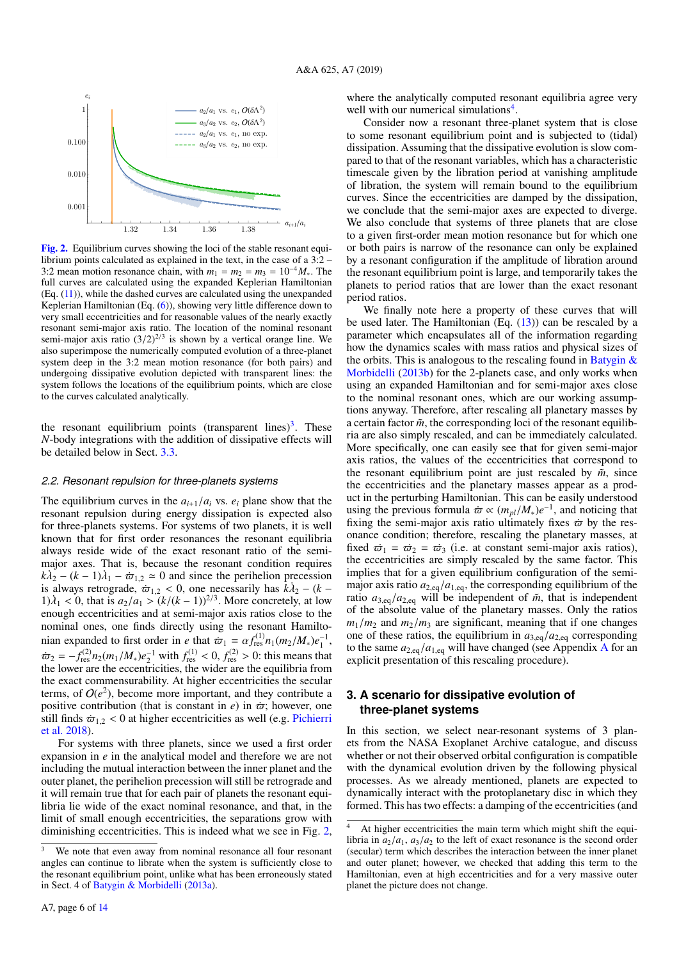

<span id="page-5-1"></span>[Fig. 2.](http://dexter.edpsciences.org/applet.php?DOI=10.1051/0004-6361/201935259&pdf_id=0) Equilibrium curves showing the loci of the stable resonant equilibrium points calculated as explained in the text, in the case of a 3:2 – 3:2 mean motion resonance chain, with  $m_1 = m_2 = m_3 = 10^{-4} M_*$ . The full curves are calculated using the expanded Keplerian Hamiltonian (Eq. [\(11\)](#page-4-2)), while the dashed curves are calculated using the unexpanded Keplerian Hamiltonian (Eq. [\(6\)](#page-3-4)), showing very little difference down to very small eccentricities and for reasonable values of the nearly exactly resonant semi-major axis ratio. The location of the nominal resonant semi-major axis ratio  $(3/2)^{2/3}$  is shown by a vertical orange line. We also superimpose the numerically computed evolution of a three-planet system deep in the 3:2 mean motion resonance (for both pairs) and undergoing dissipative evolution depicted with transparent lines: the system follows the locations of the equilibrium points, which are close to the curves calculated analytically.

the resonant equilibrium points (transparent lines)<sup>[3](#page-5-2)</sup>. These *N*-body integrations with the addition of dissipative effects will be detailed below in Sect. [3.3.](#page-7-1)

## <span id="page-5-4"></span>*2.2. Resonant repulsion for three-planets systems*

The equilibrium curves in the  $a_{i+1}/a_i$  vs.  $e_i$  plane show that the resonant repulsion during energy dissipation is expected also for three-planets systems. For systems of two planets, it is well known that for first order resonances the resonant equilibria always reside wide of the exact resonant ratio of the semimajor axes. That is, because the resonant condition requires  $k\lambda_2 - (k-1)\lambda_1 - \varpi_{1,2} \simeq 0$  and since the perihelion precession is always retrograde,  $\dot{\varpi}_{1,2} < 0$ , one necessarily has  $k\lambda_2 - (k 1)\lambda_1 < 0$ , that is  $a_2/a_1 > (k/(k-1))^{2/3}$ . More concretely, at low enough eccentricities and at semi-major axis ratios close to the nominal ones, one finds directly using the resonant Hamiltonian expanded to first order in *e* that  $\dot{\varpi}_1 = \alpha f_{\text{res}}^{(1)} n_1(m_2/M_*) e_1^{-1}$ ,  $\dot{\varpi}_2 = -f_{\text{res}}^{(2)} n_2(m_1/M_*) e_2^{-1}$  with  $f_{\text{res}}^{(1)} < 0$ ,  $f_{\text{res}}^{(2)} > 0$ : this means that the lower are the eccentricities, the wider are the equilibria from the exact commensurability. At higher eccentricities the secular terms, of  $O(e^2)$ , become more important, and they contribute a positive contribution (that is constant in  $e$ ) in  $\dot{\varpi}$ ; however, one still finds  $\dot{\varpi}_{1,2}$  < 0 at higher eccentricities as well (e.g. [Pichierri](#page-12-17) [et al.](#page-12-17) [2018\)](#page-12-17).

For systems with three planets, since we used a first order expansion in *e* in the analytical model and therefore we are not including the mutual interaction between the inner planet and the outer planet, the perihelion precession will still be retrograde and it will remain true that for each pair of planets the resonant equilibria lie wide of the exact nominal resonance, and that, in the limit of small enough eccentricities, the separations grow with diminishing eccentricities. This is indeed what we see in Fig. [2,](#page-5-1)

where the analytically computed resonant equilibria agree very well with our numerical simulations<sup>[4](#page-5-3)</sup>.

Consider now a resonant three-planet system that is close to some resonant equilibrium point and is subjected to (tidal) dissipation. Assuming that the dissipative evolution is slow compared to that of the resonant variables, which has a characteristic timescale given by the libration period at vanishing amplitude of libration, the system will remain bound to the equilibrium curves. Since the eccentricities are damped by the dissipation, we conclude that the semi-major axes are expected to diverge. We also conclude that systems of three planets that are close to a given first-order mean motion resonance but for which one or both pairs is narrow of the resonance can only be explained by a resonant configuration if the amplitude of libration around the resonant equilibrium point is large, and temporarily takes the planets to period ratios that are lower than the exact resonant period ratios.

We finally note here a property of these curves that will be used later. The Hamiltonian (Eq.  $(13)$ ) can be rescaled by a parameter which encapsulates all of the information regarding how the dynamics scales with mass ratios and physical sizes of the orbits. This is analogous to the rescaling found in Batygin  $\&$ [Morbidelli](#page-12-20) [\(2013b\)](#page-12-20) for the 2-planets case, and only works when using an expanded Hamiltonian and for semi-major axes close to the nominal resonant ones, which are our working assumptions anyway. Therefore, after rescaling all planetary masses by a certain factor  $\tilde{m}$ , the corresponding loci of the resonant equilibria are also simply rescaled, and can be immediately calculated. More specifically, one can easily see that for given semi-major axis ratios, the values of the eccentricities that correspond to the resonant equilibrium point are just rescaled by  $\tilde{m}$ , since the eccentricities and the planetary masses appear as a product in the perturbing Hamiltonian. This can be easily understood using the previous formula  $\dot{\varpi} \propto (m_{pl}/M_*)e^{-1}$ , and noticing that fixing the semi-major axis ratio ultimately fixes  $\dot{\varpi}$  by the resonance condition; therefore, rescaling the planetary masses, at fixed  $\vec{\omega}_1 = \vec{\omega}_2 = \vec{\omega}_3$  (i.e. at constant semi-major axis ratios), the eccentricities are simply rescaled by the same factor. This implies that for a given equilibrium configuration of the semimajor axis ratio  $a_{2,\text{eq}}/a_{1,\text{eq}}$ , the corresponding equilibrium of the ratio  $a_{3,eq}/a_{2,eq}$  will be independent of  $\tilde{m}$ , that is independent of the absolute value of the planetary masses. Only the ratios  $m_1/m_2$  and  $m_2/m_3$  are significant, meaning that if one changes one of these ratios, the equilibrium in  $a_{3,eq}/a_{2,eq}$  corresponding to the same  $a_{2,\text{eq}}/a_{1,\text{eq}}$  will have changed (see [A](#page-13-1)ppendix A for an explicit presentation of this rescaling procedure).

# <span id="page-5-0"></span>**3. A scenario for dissipative evolution of three-planet systems**

In this section, we select near-resonant systems of 3 planets from the NASA Exoplanet Archive catalogue, and discuss whether or not their observed orbital configuration is compatible with the dynamical evolution driven by the following physical processes. As we already mentioned, planets are expected to dynamically interact with the protoplanetary disc in which they formed. This has two effects: a damping of the eccentricities (and

<span id="page-5-2"></span>We note that even away from nominal resonance all four resonant angles can continue to librate when the system is sufficiently close to the resonant equilibrium point, unlike what has been erroneously stated in Sect. 4 of [Batygin & Morbidelli](#page-12-9) [\(2013a\)](#page-12-9).

<span id="page-5-3"></span><sup>4</sup> At higher eccentricities the main term which might shift the equilibria in  $a_2/a_1$ ,  $a_3/a_2$  to the left of exact resonance is the second order (secular) term which describes the interaction between the inner planet and outer planet; however, we checked that adding this term to the Hamiltonian, even at high eccentricities and for a very massive outer planet the picture does not change.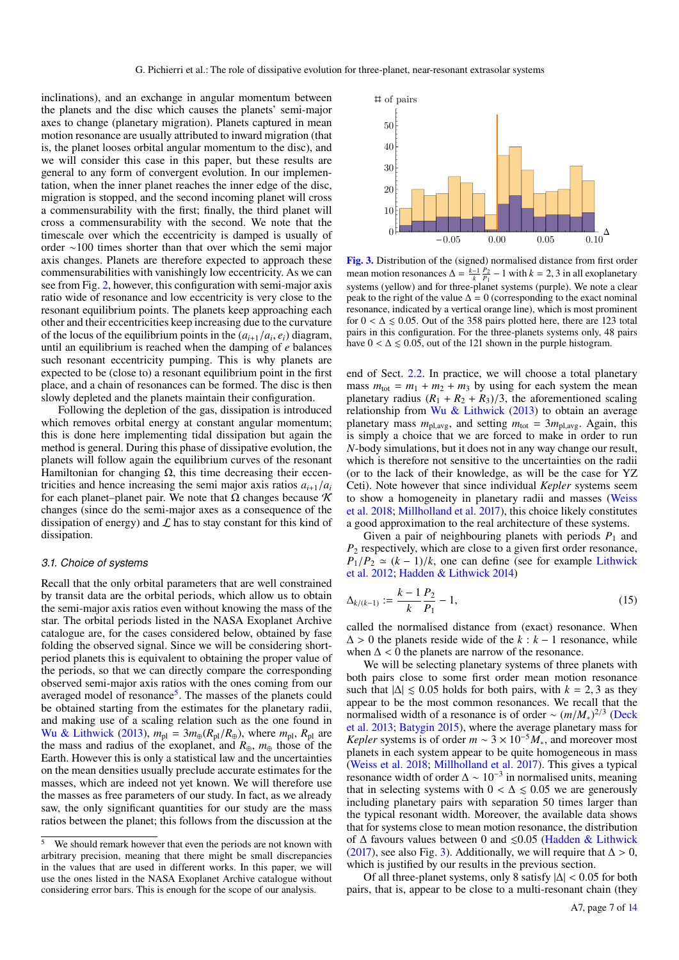inclinations), and an exchange in angular momentum between the planets and the disc which causes the planets' semi-major axes to change (planetary migration). Planets captured in mean motion resonance are usually attributed to inward migration (that is, the planet looses orbital angular momentum to the disc), and we will consider this case in this paper, but these results are general to any form of convergent evolution. In our implementation, when the inner planet reaches the inner edge of the disc, migration is stopped, and the second incoming planet will cross a commensurability with the first; finally, the third planet will cross a commensurability with the second. We note that the timescale over which the eccentricity is damped is usually of order ∼100 times shorter than that over which the semi major axis changes. Planets are therefore expected to approach these commensurabilities with vanishingly low eccentricity. As we can see from Fig. [2,](#page-5-1) however, this configuration with semi-major axis ratio wide of resonance and low eccentricity is very close to the resonant equilibrium points. The planets keep approaching each other and their eccentricities keep increasing due to the curvature of the locus of the equilibrium points in the  $(a_{i+1}/a_i, e_i)$  diagram, until an equilibrium is reached when the damping of *e* balances such resonant eccentricity pumping. This is why planets are expected to be (close to) a resonant equilibrium point in the first place, and a chain of resonances can be formed. The disc is then slowly depleted and the planets maintain their configuration.

Following the depletion of the gas, dissipation is introduced which removes orbital energy at constant angular momentum; this is done here implementing tidal dissipation but again the method is general. During this phase of dissipative evolution, the planets will follow again the equilibrium curves of the resonant Hamiltonian for changing  $Ω$ , this time decreasing their eccentricities and hence increasing the semi major axis ratios  $a_{i+1}/a_i$ for each planet–planet pair. We note that  $\Omega$  changes because K changes (since do the semi-major axes as a consequence of the dissipation of energy) and  $\mathcal L$  has to stay constant for this kind of dissipation.

## <span id="page-6-2"></span>*3.1. Choice of systems*

Recall that the only orbital parameters that are well constrained by transit data are the orbital periods, which allow us to obtain the semi-major axis ratios even without knowing the mass of the star. The orbital periods listed in the NASA Exoplanet Archive catalogue are, for the cases considered below, obtained by fase folding the observed signal. Since we will be considering shortperiod planets this is equivalent to obtaining the proper value of the periods, so that we can directly compare the corresponding observed semi-major axis ratios with the ones coming from our averaged model of resonance<sup>[5](#page-6-0)</sup>. The masses of the planets could be obtained starting from the estimates for the planetary radii, and making use of a scaling relation such as the one found in [Wu & Lithwick](#page-12-18) [\(2013\)](#page-12-18),  $m_{\text{pl}} = 3m_{\oplus}(R_{\text{pl}}/R_{\oplus})$ , where  $m_{\text{pl}}$ ,  $R_{\text{pl}}$  are the mass and radius of the exoplanet, and *R*⊕, *m*<sup>⊕</sup> those of the Earth. However this is only a statistical law and the uncertainties on the mean densities usually preclude accurate estimates for the masses, which are indeed not yet known. We will therefore use the masses as free parameters of our study. In fact, as we already saw, the only significant quantities for our study are the mass ratios between the planet; this follows from the discussion at the



<span id="page-6-1"></span>[Fig. 3.](http://dexter.edpsciences.org/applet.php?DOI=10.1051/0004-6361/201935259&pdf_id=0) Distribution of the (signed) normalised distance from first order mean motion resonances  $\Delta = \frac{k-1}{k} \frac{P_2}{P_1} - 1$  with  $k = 2, 3$  in all exoplanetary systems (yellow) and for three-planet systems (purple). We note a clear peak to the right of the value  $\Delta = 0$  (corresponding to the exact nominal resonance, indicated by a vertical orange line), which is most prominent for  $0 < \Delta \le 0.05$ . Out of the 358 pairs plotted here, there are 123 total pairs in this configuration. For the three-planets systems only, 48 pairs have  $0 < \Delta \leq 0.05$ , out of the 121 shown in the purple histogram.

end of Sect. [2.2.](#page-5-4) In practice, we will choose a total planetary mass  $m_{\text{tot}} = m_1 + m_2 + m_3$  by using for each system the mean planetary radius  $(R_1 + R_2 + R_3)/3$ , the aforementioned scaling relationship from [Wu & Lithwick](#page-12-18) [\(2013\)](#page-12-18) to obtain an average planetary mass  $m_{\text{pl,avg}}$ , and setting  $m_{\text{tot}} = 3m_{\text{pl,avg}}$ . Again, this is simply a choice that we are forced to make in order to run *N*-body simulations, but it does not in any way change our result, which is therefore not sensitive to the uncertainties on the radii (or to the lack of their knowledge, as will be the case for YZ Ceti). Note however that since individual *Kepler* systems seem to show a homogeneity in planetary radii and masses [\(Weiss](#page-12-28) [et al.](#page-12-28) [2018;](#page-12-28) [Millholland et al.](#page-12-29) [2017\)](#page-12-29), this choice likely constitutes a good approximation to the real architecture of these systems.

Given a pair of neighbouring planets with periods  $P_1$  and *P*<sup>2</sup> respectively, which are close to a given first order resonance,  $P_1/P_2 \simeq (k-1)/k$ , one can define (see for example [Lithwick](#page-12-30) [et al.](#page-12-30) [2012;](#page-12-30) [Hadden & Lithwick](#page-12-31) [2014\)](#page-12-31)

$$
\Delta_{k/(k-1)} := \frac{k-1}{k} \frac{P_2}{P_1} - 1,\tag{15}
$$

called the normalised distance from (exact) resonance. When  $\Delta > 0$  the planets reside wide of the  $k : k - 1$  resonance, while when  $\Delta$  < 0 the planets are narrow of the resonance.

[\(2017\)](#page-12-26), see also Fig. [3\)](#page-6-1). Additionally, we will require that  $\Delta > 0$ , We will be selecting planetary systems of three planets with both pairs close to some first order mean motion resonance such that  $|\Delta| \leq 0.05$  holds for both pairs, with  $k = 2, 3$  as they appear to be the most common resonances. We recall that the normalised width of a resonance is of order ~  $(m/M_*)^{2/3}$  [\(Deck](#page-12-32) [et al.](#page-12-32) [2013;](#page-12-32) [Batygin](#page-12-33) [2015\)](#page-12-33), where the average planetary mass for *Kepler* systems is of order  $m \sim 3 \times 10^{-5} M_*$ , and moreover most planets in each system appear to be quite homogeneous in mass [\(Weiss et al.](#page-12-28) [2018;](#page-12-28) [Millholland et al.](#page-12-29) [2017\)](#page-12-29). This gives a typical resonance width of order  $\Delta \sim 10^{-3}$  in normalised units, meaning that in selecting systems with  $0 < \Delta \le 0.05$  we are generously including planetary pairs with separation 50 times larger than the typical resonant width. Moreover, the available data shows that for systems close to mean motion resonance, the distribution of  $\Delta$  favours values between 0 and  $\leq 0.05$  [\(Hadden & Lithwick](#page-12-26) which is justified by our results in the previous section.

Which is justified by our results in the previous section.<br>Of all three-planet systems, only 8 satisfy  $|\Delta| < 0.05$  for both  $\text{P}$  pairs, that is, appear to be close to a multi-resonant chain (they

<span id="page-6-0"></span><sup>&</sup>lt;sup>5</sup> We should remark however that even the periods are not known with arbitrary precision, meaning that there might be small discrepancies in the values that are used in different works. In this paper, we will use the ones listed in the NASA Exoplanet Archive catalogue without considering error bars. This is enough for the scope of our analysis.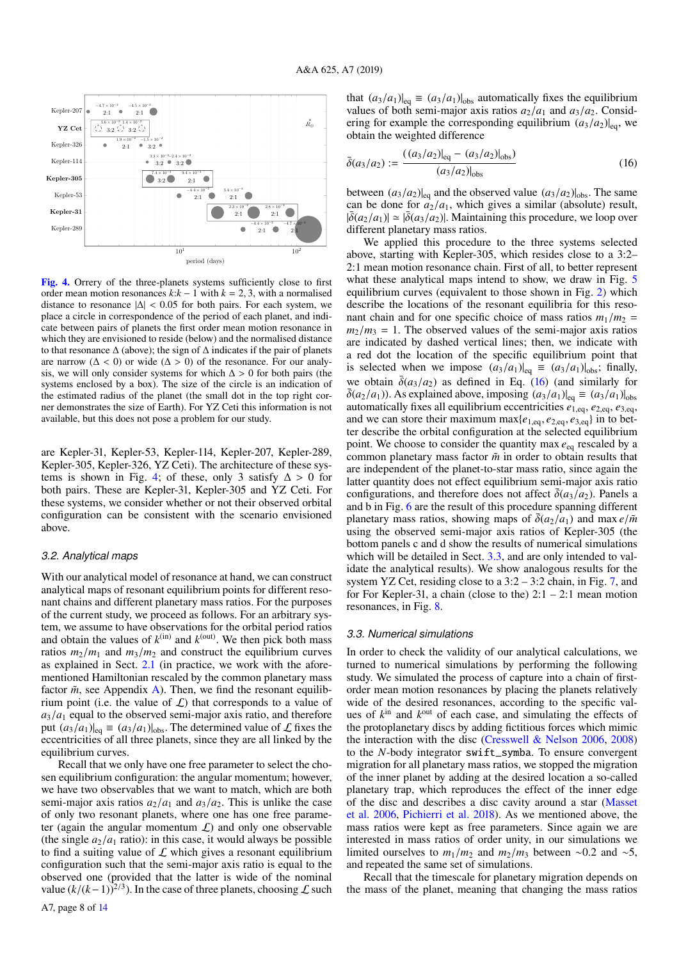

<span id="page-7-2"></span>[Fig. 4.](http://dexter.edpsciences.org/applet.php?DOI=10.1051/0004-6361/201935259&pdf_id=0) Orrery of the three-planets systems sufficiently close to first order mean motion resonances  $k:k-1$  with  $k = 2, 3$ , with a normalised distance to resonance  $|\Delta|$  < 0.05 for both pairs. For each system, we place a circle in correspondence of the period of each planet, and indicate between pairs of planets the first order mean motion resonance in which they are envisioned to reside (below) and the normalised distance to that resonance  $\Delta$  (above); the sign of  $\Delta$  indicates if the pair of planets are narrow ( $\Delta$  < 0) or wide ( $\Delta$  > 0) of the resonance. For our analysis, we will only consider systems for which  $\Delta > 0$  for both pairs (the systems enclosed by a box). The size of the circle is an indication of the estimated radius of the planet (the small dot in the top right corner demonstrates the size of Earth). For YZ Ceti this information is not available, but this does not pose a problem for our study.

are Kepler-31, Kepler-53, Kepler-114, Kepler-207, Kepler-289, Kepler-305, Kepler-326, YZ Ceti). The architecture of these sys-tems is shown in Fig. [4;](#page-7-2) of these, only 3 satisfy  $\Delta > 0$  for both pairs. These are Kepler-31, Kepler-305 and YZ Ceti. For these systems, we consider whether or not their observed orbital configuration can be consistent with the scenario envisioned above.

## <span id="page-7-0"></span>*3.2. Analytical maps*

With our analytical model of resonance at hand, we can construct analytical maps of resonant equilibrium points for different resonant chains and different planetary mass ratios. For the purposes of the current study, we proceed as follows. For an arbitrary system, we assume to have observations for the orbital period ratios and obtain the values of  $k^{(in)}$  and  $k^{(out)}$ . We then pick both mass ratios  $m_2/m_1$  and  $m_3/m_2$  and construct the equilibrium curves as explained in Sect. [2.1](#page-4-4) (in practice, we work with the aforementioned Hamiltonian rescaled by the common planetary mass factor  $\tilde{m}$ , see Appendix [A\)](#page-13-1). Then, we find the resonant equilibrium point (i.e. the value of  $\mathcal{L}$ ) that corresponds to a value of  $a_3/a_1$  equal to the observed semi-major axis ratio, and therefore put  $(a_3/a_1)|_{eq} \equiv (a_3/a_1)|_{obs}$ . The determined value of  $\mathcal L$  fixes the eccentricities of all three planets, since they are all linked by the equilibrium curves.

Recall that we only have one free parameter to select the chosen equilibrium configuration: the angular momentum; however, we have two observables that we want to match, which are both semi-major axis ratios  $a_2/a_1$  and  $a_3/a_2$ . This is unlike the case of only two resonant planets, where one has one free parameter (again the angular momentum  $\mathcal{L}$ ) and only one observable (the single  $a_2/a_1$  ratio): in this case, it would always be possible to find a suiting value of  $L$  which gives a resonant equilibrium configuration such that the semi-major axis ratio is equal to the observed one (provided that the latter is wide of the nominal value  $(k/(k-1))^{2/3}$ ). In the case of three planets, choosing  $\mathcal L$  such

that  $(a_3/a_1)|_{\text{eq}} \equiv (a_3/a_1)|_{\text{obs}}$  automatically fixes the equilibrium values of both semi-major axis ratios  $a_2/a_1$  and  $a_3/a_2$ . Considering for example the corresponding equilibrium  $(a_3/a_2)|_{\text{eq}}$ , we obtain the weighted difference

<span id="page-7-3"></span>
$$
\bar{\delta}(a_3/a_2) := \frac{((a_3/a_2)|_{\text{eq}} - (a_3/a_2)|_{\text{obs}})}{(a_3/a_2)|_{\text{obs}}}
$$
(16)

between  $(a_3/a_2)|_{\text{eq}}$  and the observed value  $(a_3/a_2)|_{\text{obs}}$ . The same can be done for  $a_2/a_1$ , which gives a similar (absolute) result,  $|\bar{\delta}(a_2/a_1)| \simeq |\bar{\delta}(a_3/a_2)|$ . Maintaining this procedure, we loop over different planetary mass ratios.

We applied this procedure to the three systems selected above, starting with Kepler-305, which resides close to a 3:2– 2:1 mean motion resonance chain. First of all, to better represent what these analytical maps intend to show, we draw in Fig. [5](#page-8-0) equilibrium curves (equivalent to those shown in Fig. [2\)](#page-5-1) which describe the locations of the resonant equilibria for this resonant chain and for one specific choice of mass ratios  $m_1/m_2$  =  $m_2/m_3 = 1$ . The observed values of the semi-major axis ratios are indicated by dashed vertical lines; then, we indicate with a red dot the location of the specific equilibrium point that is selected when we impose  $(a_3/a_1)|_{\text{eq}} \equiv (a_3/a_1)|_{\text{obs}}$ ; finally, we obtain  $\bar{\delta}(a_3/a_2)$  as defined in Eq. [\(16\)](#page-7-3) (and similarly for  $\bar{\delta}(a_2/a_1)$ ). As explained above, imposing  $(a_3/a_1)|_{eq} \equiv (a_3/a_1)|_{obs}$ automatically fixes all equilibrium eccentricities *e*1,eq, *e*2,eq, *e*3,eq, and we can store their maximum max{*e*1,eq, *e*2,eq, *e*3,eq} in to better describe the orbital configuration at the selected equilibrium point. We choose to consider the quantity max *e*eq rescaled by a common planetary mass factor  $\tilde{m}$  in order to obtain results that are independent of the planet-to-star mass ratio, since again the latter quantity does not effect equilibrium semi-major axis ratio configurations, and therefore does not affect  $\overline{\delta}(a_3/a_2)$ . Panels a and b in Fig. [6](#page-8-1) are the result of this procedure spanning different planetary mass ratios, showing maps of  $\bar{\delta}(a_2/a_1)$  and max *e*/*m* using the observed semi-major axis ratios of Kepler-305 (the bottom panels c and d show the results of numerical simulations which will be detailed in Sect. [3.3,](#page-7-1) and are only intended to validate the analytical results). We show analogous results for the system YZ Cet, residing close to a  $3:2 - 3:2$  chain, in Fig. [7,](#page-9-0) and for For Kepler-31, a chain (close to the)  $2:1 - 2:1$  mean motion resonances, in Fig. [8.](#page-9-1)

#### <span id="page-7-1"></span>*3.3. Numerical simulations*

In order to check the validity of our analytical calculations, we turned to numerical simulations by performing the following study. We simulated the process of capture into a chain of firstorder mean motion resonances by placing the planets relatively wide of the desired resonances, according to the specific values of  $k^{\text{in}}$  and  $k^{\text{out}}$  of each case, and simulating the effects of the protoplanetary discs by adding fictitious forces which mimic the interaction with the disc [\(Cresswell & Nelson](#page-12-13) [2006,](#page-12-13) [2008\)](#page-12-14) to the *N*-body integrator swift\_symba. To ensure convergent migration for all planetary mass ratios, we stopped the migration of the inner planet by adding at the desired location a so-called planetary trap, which reproduces the effect of the inner edge of the disc and describes a disc cavity around a star [\(Masset](#page-12-34) [et al.](#page-12-34) [2006,](#page-12-34) [Pichierri et al.](#page-12-17) [2018\)](#page-12-17). As we mentioned above, the mass ratios were kept as free parameters. Since again we are interested in mass ratios of order unity, in our simulations we limited ourselves to  $m_1/m_2$  and  $m_2/m_3$  between ~0.2 and ~5, and repeated the same set of simulations.

Recall that the timescale for planetary migration depends on the mass of the planet, meaning that changing the mass ratios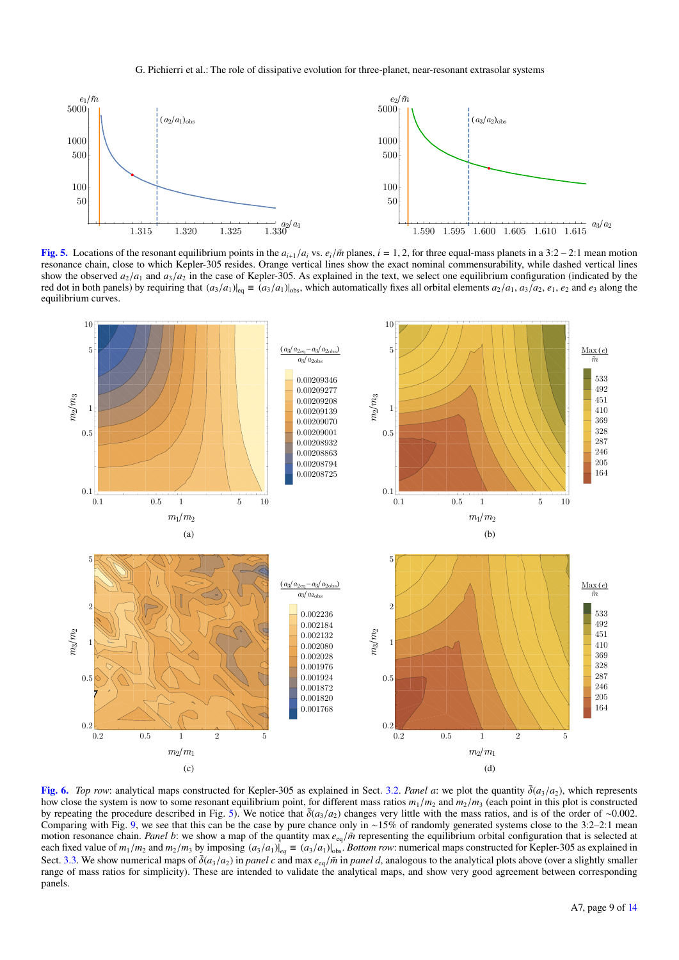#### G. Pichierri et al.: The role of dissipative evolution for three-planet, near-resonant extrasolar systems



<span id="page-8-0"></span>[Fig. 5.](http://dexter.edpsciences.org/applet.php?DOI=10.1051/0004-6361/201935259&pdf_id=0) Locations of the resonant equilibrium points in the  $a_{i+1}/a_i$  vs.  $e_i/\tilde{m}$  planes,  $i = 1, 2$ , for three equal-mass planets in a 3:2 – 2:1 mean motion resonance chain, close to which Kepler-305 resides. Orange vertical lines show the exact nominal commensurability, while dashed vertical lines show the observed  $a_2/a_1$  and  $a_3/a_2$  in the case of Kepler-305. As explained in the text, we select one equilibrium configuration (indicated by the red dot in both panels) by requiring that  $(a_3/a_1)|_{eq} \equiv (a_3/a_1)|_{obs}$ , which automatically fixes all orbital elements  $a_2/a_1$ ,  $a_3/a_2$ ,  $e_1$ ,  $e_2$  and  $e_3$  along the equilibrium curves.



<span id="page-8-1"></span>[Fig. 6.](http://dexter.edpsciences.org/applet.php?DOI=10.1051/0004-6361/201935259&pdf_id=0) *Top row*: analytical maps constructed for Kepler-305 as explained in Sect. [3.2.](#page-7-0) *Panel a*: we plot the quantity  $\bar{\delta}(a_3/a_2)$ , which represents how close the system is now to some resonant equilibrium point, for different mass ratios  $m_1/m_2$  and  $m_2/m_3$  (each point in this plot is constructed by repeating the procedure described in Fig. [5\)](#page-8-0). We notice that  $\bar{\delta}(a_3/a_2)$  changes very little with the mass ratios, and is of the order of ∼0.002. Comparing with Fig. [9,](#page-11-1) we see that this can be the case by pure chance only in ∼15% of randomly generated systems close to the 3:2–2:1 mean motion resonance chain. *Panel b*: we show a map of the quantity max  $e_{eq}/\tilde{m}$  representing the equilibrium orbital configuration that is selected at each fixed value of  $m_1/m_2$  and  $m_2/m_3$  by imposing  $(a_3/a_1)|_{eq} \equiv (a_3/a_1)|_{obs}$ . *Bottom row*: numerical maps constructed for Kepler-305 as explained in Sect. [3.3.](#page-7-1) We show numerical maps of  $\bar{\delta}(a_3/a_2)$  in *panel c* and max  $e_{eq}/\bar{m}$  in *panel d*, analogous to the analytical plots above (over a slightly smaller range of mass ratios for simplicity). These are intended to validate the analytical maps, and show very good agreement between corresponding panels.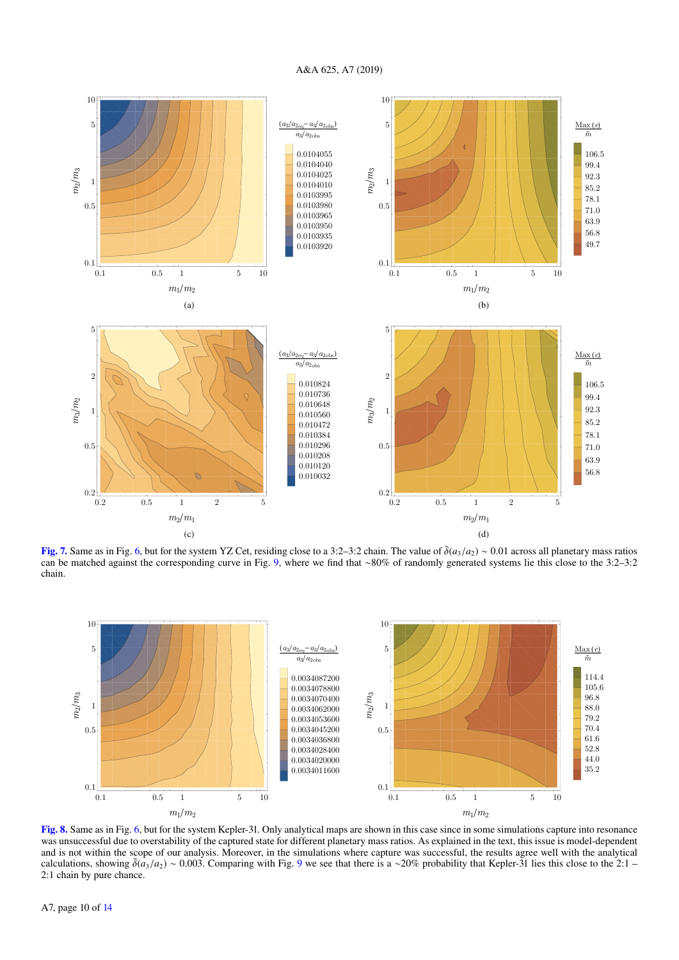

<span id="page-9-0"></span>[Fig. 7.](http://dexter.edpsciences.org/applet.php?DOI=10.1051/0004-6361/201935259&pdf_id=0) Same as in Fig. [6,](#page-8-1) but for the system YZ Cet, residing close to a 3:2–3:2 chain. The value of  $\bar{\delta}(a_3/a_2) \sim 0.01$  across all planetary mass ratios can be matched against the corresponding curve in Fig. [9,](#page-11-1) where we find that ∼80% of randomly generated systems lie this close to the 3:2–3:2 chain.



<span id="page-9-1"></span>[Fig. 8.](http://dexter.edpsciences.org/applet.php?DOI=10.1051/0004-6361/201935259&pdf_id=0) Same as in Fig. [6,](#page-8-1) but for the system Kepler-31. Only analytical maps are shown in this case since in some simulations capture into resonance was unsuccessful due to overstability of the captured state for different planetary mass ratios. As explained in the text, this issue is model-dependent and is not within the scope of our analysis. Moreover, in the simulations where capture was successful, the results agree well with the analytical calculations, showing  $\bar{\delta}(a_3/a_2) \sim 0.003$ . Comparing with Fig. [9](#page-11-1) we see that there is a ~20% probability that Kepler-31 lies this close to the 2:1 – 2:1 chain by pure chance.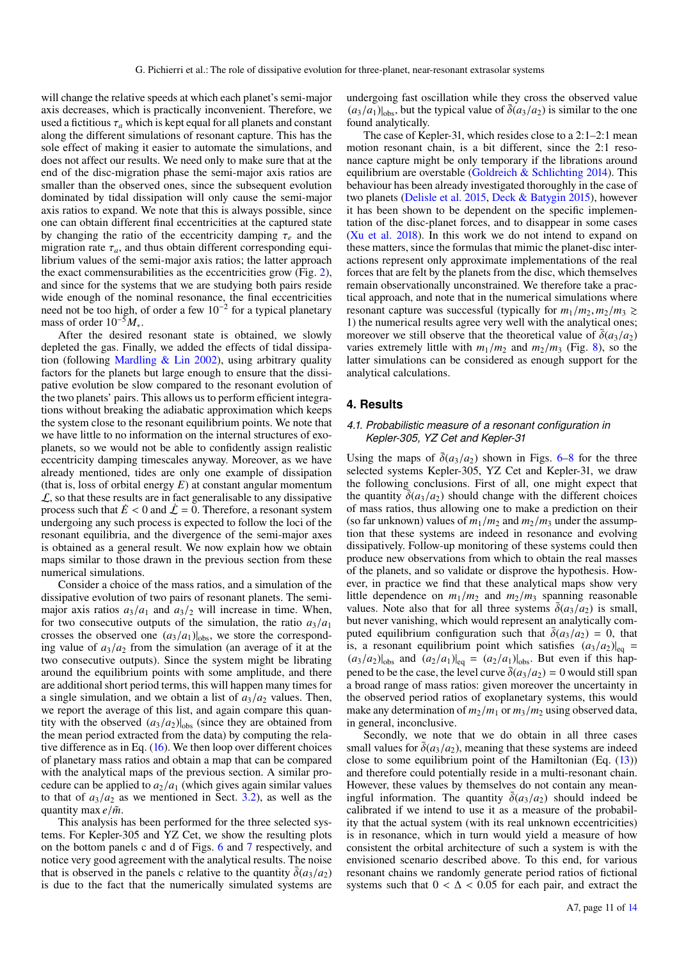will change the relative speeds at which each planet's semi-major axis decreases, which is practically inconvenient. Therefore, we used a fictitious  $\tau_a$  which is kept equal for all planets and constant along the different simulations of resonant capture. This has the sole effect of making it easier to automate the simulations, and does not affect our results. We need only to make sure that at the end of the disc-migration phase the semi-major axis ratios are smaller than the observed ones, since the subsequent evolution dominated by tidal dissipation will only cause the semi-major axis ratios to expand. We note that this is always possible, since one can obtain different final eccentricities at the captured state by changing the ratio of the eccentricity damping  $\tau_e$  and the migration rate  $\tau_a$ , and thus obtain different corresponding equilibrium values of the semi-major axis ratios; the latter approach the exact commensurabilities as the eccentricities grow (Fig. [2\)](#page-5-1), and since for the systems that we are studying both pairs reside wide enough of the nominal resonance, the final eccentricities need not be too high, of order a few 10<sup>-2</sup> for a typical planetary mass of order 10−<sup>5</sup>*M*∗.

After the desired resonant state is obtained, we slowly depleted the gas. Finally, we added the effects of tidal dissipation (following Mardling  $&$  Lin [2002\)](#page-12-35), using arbitrary quality factors for the planets but large enough to ensure that the dissipative evolution be slow compared to the resonant evolution of the two planets' pairs. This allows us to perform efficient integrations without breaking the adiabatic approximation which keeps the system close to the resonant equilibrium points. We note that we have little to no information on the internal structures of exoplanets, so we would not be able to confidently assign realistic eccentricity damping timescales anyway. Moreover, as we have already mentioned, tides are only one example of dissipation (that is, loss of orbital energy *E*) at constant angular momentum  $\mathcal{L}$ , so that these results are in fact generalisable to any dissipative process such that  $\dot{E}$  < 0 and  $\dot{\mathcal{L}}$  = 0. Therefore, a resonant system undergoing any such process is expected to follow the loci of the resonant equilibria, and the divergence of the semi-major axes is obtained as a general result. We now explain how we obtain maps similar to those drawn in the previous section from these numerical simulations.

Consider a choice of the mass ratios, and a simulation of the dissipative evolution of two pairs of resonant planets. The semimajor axis ratios  $a_3/a_1$  and  $a_3/a_2$  will increase in time. When, for two consecutive outputs of the simulation, the ratio  $a_3/a_1$ crosses the observed one  $(a_3/a_1)|_{\text{obs}}$ , we store the corresponding value of  $a_3/a_2$  from the simulation (an average of it at the two consecutive outputs). Since the system might be librating around the equilibrium points with some amplitude, and there are additional short period terms, this will happen many times for a single simulation, and we obtain a list of  $a_3/a_2$  values. Then, we report the average of this list, and again compare this quantity with the observed  $(a_3/a_2)|_{\text{obs}}$  (since they are obtained from the mean period extracted from the data) by computing the relative difference as in Eq.  $(16)$ . We then loop over different choices of planetary mass ratios and obtain a map that can be compared with the analytical maps of the previous section. A similar procedure can be applied to  $a_2/a_1$  (which gives again similar values to that of  $a_3/a_2$  as we mentioned in Sect. [3.2\)](#page-7-0), as well as the quantity max  $e/\tilde{m}$ .

This analysis has been performed for the three selected systems. For Kepler-305 and YZ Cet, we show the resulting plots on the bottom panels c and d of Figs. [6](#page-8-1) and [7](#page-9-0) respectively, and notice very good agreement with the analytical results. The noise that is observed in the panels c relative to the quantity  $\overline{\delta}(a_3/a_2)$ is due to the fact that the numerically simulated systems are

undergoing fast oscillation while they cross the observed value  $(a_3/a_1)|_{\text{obs}}$ , but the typical value of  $\bar{\delta}(a_3/a_2)$  is similar to the one found analytically.

The case of Kepler-31, which resides close to a 2:1–2:1 mean motion resonant chain, is a bit different, since the 2:1 resonance capture might be only temporary if the librations around equilibrium are overstable (Goldreich  $&$  Schlichting [2014\)](#page-12-16). This behaviour has been already investigated thoroughly in the case of two planets [\(Delisle et al.](#page-12-15) [2015,](#page-12-15) [Deck & Batygin](#page-12-36) [2015\)](#page-12-36), however it has been shown to be dependent on the specific implementation of the disc-planet forces, and to disappear in some cases [\(Xu et al.](#page-12-37) [2018\)](#page-12-37). In this work we do not intend to expand on these matters, since the formulas that mimic the planet-disc interactions represent only approximate implementations of the real forces that are felt by the planets from the disc, which themselves remain observationally unconstrained. We therefore take a practical approach, and note that in the numerical simulations where resonant capture was successful (typically for  $m_1/m_2$ ,  $m_2/m_3 \geq$ 1) the numerical results agree very well with the analytical ones; moreover we still observe that the theoretical value of  $\bar{\delta}(a_3/a_2)$ varies extremely little with  $m_1/m_2$  and  $m_2/m_3$  (Fig. [8\)](#page-9-1), so the latter simulations can be considered as enough support for the analytical calculations.

# <span id="page-10-0"></span>**4. Results**

# *4.1. Probabilistic measure of a resonant configuration in Kepler-305, YZ Cet and Kepler-31*

Using the maps of  $\bar{\delta}(a_3/a_2)$  shown in Figs. [6](#page-8-1)[–8](#page-9-1) for the three selected systems Kepler-305, YZ Cet and Kepler-31, we draw the following conclusions. First of all, one might expect that the quantity  $\bar{\delta}(a_3/a_2)$  should change with the different choices of mass ratios, thus allowing one to make a prediction on their (so far unknown) values of  $m_1/m_2$  and  $m_2/m_3$  under the assumption that these systems are indeed in resonance and evolving dissipatively. Follow-up monitoring of these systems could then produce new observations from which to obtain the real masses of the planets, and so validate or disprove the hypothesis. However, in practice we find that these analytical maps show very little dependence on  $m_1/m_2$  and  $m_2/m_3$  spanning reasonable values. Note also that for all three systems  $\overline{\delta}(a_3/a_2)$  is small, but never vanishing, which would represent an analytically computed equilibrium configuration such that  $\overline{\delta}(a_3/a_2) = 0$ , that is, a resonant equilibrium point which satisfies  $(a_3/a_2)|_{\text{eq}} =$  $(a_3/a_2)|_{\text{obs}}$  and  $(a_2/a_1)|_{\text{eq}} = (a_2/a_1)|_{\text{obs}}$ . But even if this happened to be the case, the level curve  $\bar{\delta}(a_3/a_2) = 0$  would still span a broad range of mass ratios: given moreover the uncertainty in the observed period ratios of exoplanetary systems, this would make any determination of  $m_2/m_1$  or  $m_3/m_2$  using observed data, in general, inconclusive.

Secondly, we note that we do obtain in all three cases small values for  $\bar{\delta}(a_3/a_2)$ , meaning that these systems are indeed close to some equilibrium point of the Hamiltonian (Eq.  $(13)$ ) and therefore could potentially reside in a multi-resonant chain. However, these values by themselves do not contain any meaningful information. The quantity  $\bar{\delta}(a_3/a_2)$  should indeed be calibrated if we intend to use it as a measure of the probability that the actual system (with its real unknown eccentricities) is in resonance, which in turn would yield a measure of how consistent the orbital architecture of such a system is with the envisioned scenario described above. To this end, for various resonant chains we randomly generate period ratios of fictional systems such that  $0 < \Delta < 0.05$  for each pair, and extract the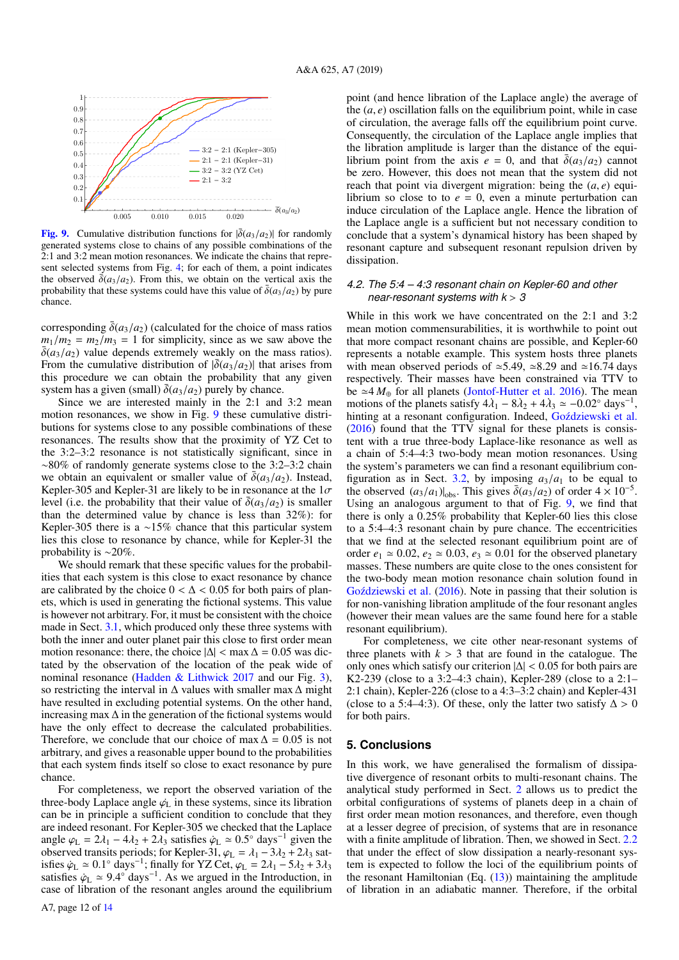

<span id="page-11-1"></span>**[Fig. 9.](http://dexter.edpsciences.org/applet.php?DOI=10.1051/0004-6361/201935259&pdf_id=0)** Cumulative distribution functions for  $|\delta(a_3/a_2)|$  for randomly generated systems close to chains of any possible combinations of the 2:1 and 3:2 mean motion resonances. We indicate the chains that represent selected systems from Fig. [4;](#page-7-2) for each of them, a point indicates the observed  $\bar{\delta}(a_3/a_2)$ . From this, we obtain on the vertical axis the probability that these systems could have this value of  $\overline{\delta}(a_3/a_2)$  by pure chance.

corresponding  $\bar{\delta}(a_3/a_2)$  (calculated for the choice of mass ratios  $m_1/m_2 = m_2/m_3 = 1$  for simplicity, since as we saw above the  $\overline{\delta}(a_3/a_2)$  value depends extremely weakly on the mass ratios). From the cumulative distribution of  $|\bar{\delta}(a_3/a_2)|$  that arises from this procedure we can obtain the probability that any given system has a given (small)  $\overline{\delta}(a_3/a_2)$  purely by chance.

Since we are interested mainly in the 2:1 and 3:2 mean motion resonances, we show in Fig. [9](#page-11-1) these cumulative distributions for systems close to any possible combinations of these resonances. The results show that the proximity of YZ Cet to the 3:2–3:2 resonance is not statistically significant, since in ∼80% of randomly generate systems close to the 3:2–3:2 chain we obtain an equivalent or smaller value of  $\bar{\delta}(a_3/a_2)$ . Instead, Kepler-305 and Kepler-31 are likely to be in resonance at the  $1\sigma$ level (i.e. the probability that their value of  $\overline{\delta}(a_3/a_2)$  is smaller than the determined value by chance is less than 32%): for Kepler-305 there is a ∼15% chance that this particular system lies this close to resonance by chance, while for Kepler-31 the probability is ∼20%.

We should remark that these specific values for the probabilities that each system is this close to exact resonance by chance are calibrated by the choice  $0 < \Delta < 0.05$  for both pairs of planets, which is used in generating the fictional systems. This value is however not arbitrary. For, it must be consistent with the choice made in Sect. [3.1,](#page-6-2) which produced only these three systems with both the inner and outer planet pair this close to first order mean motion resonance: there, the choice  $|\Delta|$  < max  $\Delta$  = 0.05 was dictated by the observation of the location of the peak wide of nominal resonance [\(Hadden & Lithwick](#page-12-26) [2017](#page-12-26) and our Fig. [3\)](#page-6-1), so restricting the interval in ∆ values with smaller max ∆ might have resulted in excluding potential systems. On the other hand, increasing max ∆ in the generation of the fictional systems would have the only effect to decrease the calculated probabilities. Therefore, we conclude that our choice of max  $\Delta = 0.05$  is not arbitrary, and gives a reasonable upper bound to the probabilities that each system finds itself so close to exact resonance by pure chance.

For completeness, we report the observed variation of the three-body Laplace angle  $\varphi_L$  in these systems, since its libration can be in principle a sufficient condition to conclude that they are indeed resonant. For Kepler-305 we checked that the Laplace angle  $\varphi_L = 2\lambda_1 - 4\lambda_2 + 2\lambda_3$  satisfies  $\dot{\varphi}_L \simeq 0.5^\circ$  days<sup>-1</sup> given the observed transits periods; for Kepler-31,  $\varphi_L = \lambda_1 - 3\lambda_2 + 2\lambda_3$  satisfies  $\dot{\varphi}_{\rm L} \simeq 0.1^{\circ}$  days<sup>-1</sup>; finally for YZ Cet,  $\varphi_{\rm L} = 2\lambda_1 - 5\lambda_2 + 3\lambda_3$ satisfies  $\dot{\varphi}_{\rm L} \simeq 9.4^{\circ}$  days<sup>-1</sup>. As we argued in the Introduction, in case of libration of the resonant angles around the equilibrium point (and hence libration of the Laplace angle) the average of the  $(a, e)$  oscillation falls on the equilibrium point, while in case of circulation, the average falls off the equilibrium point curve. Consequently, the circulation of the Laplace angle implies that the libration amplitude is larger than the distance of the equilibrium point from the axis  $e = 0$ , and that  $\overline{\delta}(a_3/a_2)$  cannot be zero. However, this does not mean that the system did not reach that point via divergent migration: being the  $(a, e)$  equilibrium so close to to  $e = 0$ , even a minute perturbation can induce circulation of the Laplace angle. Hence the libration of the Laplace angle is a sufficient but not necessary condition to conclude that a system's dynamical history has been shaped by resonant capture and subsequent resonant repulsion driven by dissipation.

# *4.2. The 5:4 – 4:3 resonant chain on Kepler-60 and other near-resonant systems with k* > *3*

While in this work we have concentrated on the 2:1 and 3:2 mean motion commensurabilities, it is worthwhile to point out that more compact resonant chains are possible, and Kepler-60 represents a notable example. This system hosts three planets with mean observed periods of  $\approx$  5.49,  $\approx$  8.29 and  $\approx$  16.74 days respectively. Their masses have been constrained via TTV to be  $\simeq$  4  $M_{\oplus}$  for all planets [\(Jontof-Hutter et al.](#page-12-38) [2016\)](#page-12-38). The mean motions of the planets satisfy  $4\lambda_1 - 8\lambda_2 + 4\lambda_3 \simeq -0.02^\circ$  days<sup>-1</sup> , hinting at a resonant configuration. Indeed, Goździewski et al. [\(2016\)](#page-12-39) found that the TTV signal for these planets is consistent with a true three-body Laplace-like resonance as well as a chain of 5:4–4:3 two-body mean motion resonances. Using the system's parameters we can find a resonant equilibrium con-figuration as in Sect. [3.2,](#page-7-0) by imposing  $a_3/a_1$  to be equal to the observed  $(a_3/a_1)|_{\text{obs}}$ . This gives  $\bar{\delta}(a_3/a_2)$  of order  $4 \times 10^{-5}$ . Using an analogous argument to that of Fig. [9,](#page-11-1) we find that there is only a 0.25% probability that Kepler-60 lies this close to a 5:4–4:3 resonant chain by pure chance. The eccentricities that we find at the selected resonant equilibrium point are of order  $e_1 \approx 0.02$ ,  $e_2 \approx 0.03$ ,  $e_3 \approx 0.01$  for the observed planetary masses. These numbers are quite close to the ones consistent for the two-body mean motion resonance chain solution found in Goździewski et al. [\(2016\)](#page-12-39). Note in passing that their solution is for non-vanishing libration amplitude of the four resonant angles (however their mean values are the same found here for a stable resonant equilibrium).

For completeness, we cite other near-resonant systems of three planets with  $k > 3$  that are found in the catalogue. The only ones which satisfy our criterion  $|\Delta|$  < 0.05 for both pairs are K2-239 (close to a 3:2–4:3 chain), Kepler-289 (close to a 2:1– 2:1 chain), Kepler-226 (close to a 4:3–3:2 chain) and Kepler-431 (close to a 5:4–4:3). Of these, only the latter two satisfy  $\Delta > 0$ for both pairs.

## <span id="page-11-0"></span>**5. Conclusions**

In this work, we have generalised the formalism of dissipative divergence of resonant orbits to multi-resonant chains. The analytical study performed in Sect. [2](#page-2-1) allows us to predict the orbital configurations of systems of planets deep in a chain of first order mean motion resonances, and therefore, even though at a lesser degree of precision, of systems that are in resonance with a finite amplitude of libration. Then, we showed in Sect. [2.2](#page-5-4) that under the effect of slow dissipation a nearly-resonant system is expected to follow the loci of the equilibrium points of the resonant Hamiltonian (Eq.  $(13)$ ) maintaining the amplitude of libration in an adiabatic manner. Therefore, if the orbital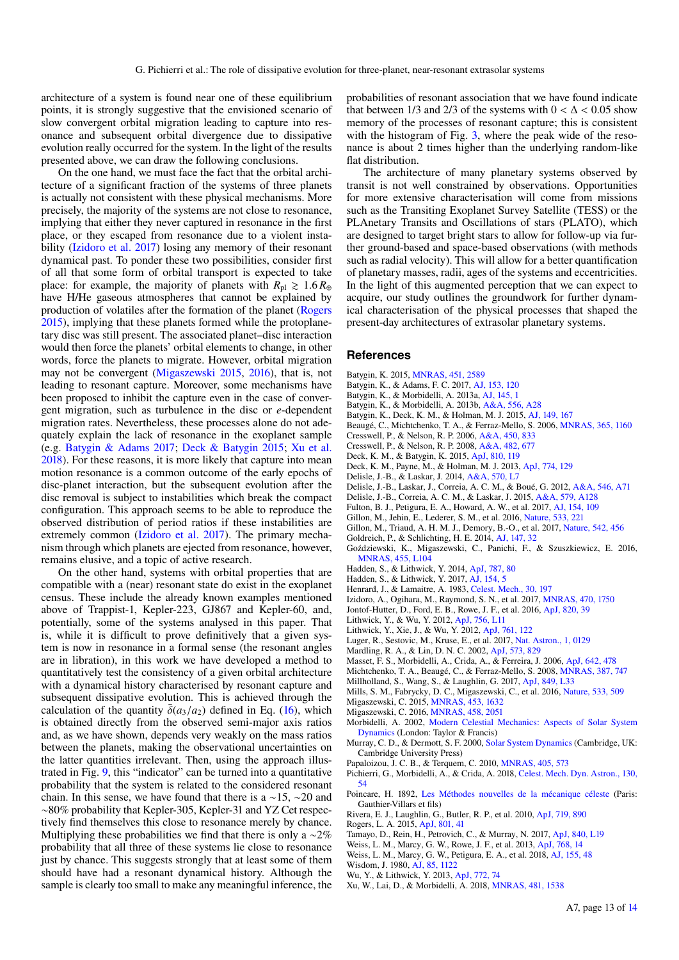architecture of a system is found near one of these equilibrium points, it is strongly suggestive that the envisioned scenario of slow convergent orbital migration leading to capture into resonance and subsequent orbital divergence due to dissipative evolution really occurred for the system. In the light of the results presented above, we can draw the following conclusions.

On the one hand, we must face the fact that the orbital architecture of a significant fraction of the systems of three planets is actually not consistent with these physical mechanisms. More precisely, the majority of the systems are not close to resonance, implying that either they never captured in resonance in the first place, or they escaped from resonance due to a violent instability [\(Izidoro et al.](#page-12-40) [2017\)](#page-12-40) losing any memory of their resonant dynamical past. To ponder these two possibilities, consider first of all that some form of orbital transport is expected to take place: for example, the majority of planets with  $R_{\text{pl}} \geq 1.6 R_{\oplus}$ have H/He gaseous atmospheres that cannot be explained by production of volatiles after the formation of the planet [\(Rogers](#page-12-41) [2015\)](#page-12-41), implying that these planets formed while the protoplanetary disc was still present. The associated planet–disc interaction would then force the planets' orbital elements to change, in other words, force the planets to migrate. However, orbital migration may not be convergent [\(Migaszewski](#page-12-42) [2015,](#page-12-42) [2016\)](#page-12-43), that is, not leading to resonant capture. Moreover, some mechanisms have been proposed to inhibit the capture even in the case of convergent migration, such as turbulence in the disc or *e*-dependent migration rates. Nevertheless, these processes alone do not adequately explain the lack of resonance in the exoplanet sample (e.g. [Batygin & Adams](#page-12-44) [2017;](#page-12-44) [Deck & Batygin](#page-12-36) [2015;](#page-12-36) [Xu et al.](#page-12-37) [2018\)](#page-12-37). For these reasons, it is more likely that capture into mean motion resonance is a common outcome of the early epochs of disc-planet interaction, but the subsequent evolution after the disc removal is subject to instabilities which break the compact configuration. This approach seems to be able to reproduce the observed distribution of period ratios if these instabilities are extremely common [\(Izidoro et al.](#page-12-40) [2017\)](#page-12-40). The primary mechanism through which planets are ejected from resonance, however, remains elusive, and a topic of active research.

On the other hand, systems with orbital properties that are compatible with a (near) resonant state do exist in the exoplanet census. These include the already known examples mentioned above of Trappist-1, Kepler-223, GJ867 and Kepler-60, and, potentially, some of the systems analysed in this paper. That is, while it is difficult to prove definitively that a given system is now in resonance in a formal sense (the resonant angles are in libration), in this work we have developed a method to quantitatively test the consistency of a given orbital architecture with a dynamical history characterised by resonant capture and subsequent dissipative evolution. This is achieved through the calculation of the quantity  $\overline{\delta}(a_3/a_2)$  defined in Eq. [\(16\)](#page-7-3), which is obtained directly from the observed semi-major axis ratios and, as we have shown, depends very weakly on the mass ratios between the planets, making the observational uncertainties on the latter quantities irrelevant. Then, using the approach illustrated in Fig. [9,](#page-11-1) this "indicator" can be turned into a quantitative probability that the system is related to the considered resonant chain. In this sense, we have found that there is a ∼15, ∼20 and ∼80% probability that Kepler-305, Kepler-31 and YZ Cet respectively find themselves this close to resonance merely by chance. Multiplying these probabilities we find that there is only a  $\sim$ 2% probability that all three of these systems lie close to resonance just by chance. This suggests strongly that at least some of them should have had a resonant dynamical history. Although the sample is clearly too small to make any meaningful inference, the

probabilities of resonant association that we have found indicate that between 1/3 and 2/3 of the systems with  $0 < \Delta < 0.05$  show memory of the processes of resonant capture; this is consistent with the histogram of Fig. [3,](#page-6-1) where the peak wide of the resonance is about 2 times higher than the underlying random-like flat distribution.

The architecture of many planetary systems observed by transit is not well constrained by observations. Opportunities for more extensive characterisation will come from missions such as the Transiting Exoplanet Survey Satellite (TESS) or the PLAnetary Transits and Oscillations of stars (PLATO), which are designed to target bright stars to allow for follow-up via further ground-based and space-based observations (with methods such as radial velocity). This will allow for a better quantification of planetary masses, radii, ages of the systems and eccentricities. In the light of this augmented perception that we can expect to acquire, our study outlines the groundwork for further dynamical characterisation of the physical processes that shaped the present-day architectures of extrasolar planetary systems.

# **References**

- <span id="page-12-44"></span><span id="page-12-33"></span>Batygin, K. 2015, [MNRAS, 451, 2589](http://linker.aanda.org/10.1051/0004-6361/201935259/1)
- Batygin, K., & Adams, F. C. 2017, [AJ, 153, 120](http://linker.aanda.org/10.1051/0004-6361/201935259/2)
- <span id="page-12-9"></span>Batygin, K., & Morbidelli, A. 2013a, [AJ, 145, 1](http://linker.aanda.org/10.1051/0004-6361/201935259/3)
- <span id="page-12-20"></span>Batygin, K., & Morbidelli, A. 2013b, [A&A, 556, A28](http://linker.aanda.org/10.1051/0004-6361/201935259/4)
- <span id="page-12-7"></span>Batygin, K., Deck, K. M., & Holman, M. J. 2015, [AJ, 149, 167](http://linker.aanda.org/10.1051/0004-6361/201935259/5)
- <span id="page-12-27"></span>Beaugé, C., Michtchenko, T. A., & Ferraz-Mello, S. 2006, [MNRAS, 365, 1160](http://linker.aanda.org/10.1051/0004-6361/201935259/6)
- <span id="page-12-13"></span>Cresswell, P., & Nelson, R. P. 2006, [A&A, 450, 833](http://linker.aanda.org/10.1051/0004-6361/201935259/7)
- <span id="page-12-14"></span>Cresswell, P., & Nelson, R. P. 2008, [A&A, 482, 677](http://linker.aanda.org/10.1051/0004-6361/201935259/8)
- <span id="page-12-36"></span>Deck, K. M., & Batygin, K. 2015, [ApJ, 810, 119](http://linker.aanda.org/10.1051/0004-6361/201935259/9)
- <span id="page-12-32"></span>Deck, K. M., Payne, M., & Holman, M. J. 2013, [ApJ, 774, 129](http://linker.aanda.org/10.1051/0004-6361/201935259/10)
- <span id="page-12-11"></span>Delisle, J.-B., & Laskar, J. 2014, [A&A, 570, L7](http://linker.aanda.org/10.1051/0004-6361/201935259/11)
- <span id="page-12-12"></span>Delisle, J.-B., Laskar, J., Correia, A. C. M., & Boué, G. 2012, [A&A, 546, A71](http://linker.aanda.org/10.1051/0004-6361/201935259/12)
- <span id="page-12-15"></span>Delisle, J.-B., Correia, A. C. M., & Laskar, J. 2015, [A&A, 579, A128](http://linker.aanda.org/10.1051/0004-6361/201935259/13)
- <span id="page-12-0"></span>Fulton, B. J., Petigura, E. A., Howard, A. W., et al. 2017, [AJ, 154, 109](http://linker.aanda.org/10.1051/0004-6361/201935259/14)
- <span id="page-12-1"></span>Gillon, M., Jehin, E., Lederer, S. M., et al. 2016, [Nature, 533, 221](http://linker.aanda.org/10.1051/0004-6361/201935259/15)
- <span id="page-12-2"></span>Gillon, M., Triaud, A. H. M. J., Demory, B.-O., et al. 2017, [Nature, 542, 456](http://linker.aanda.org/10.1051/0004-6361/201935259/16)
- <span id="page-12-16"></span>Goldreich, P., & Schlichting, H. E. 2014, [AJ, 147, 32](http://linker.aanda.org/10.1051/0004-6361/201935259/17)
- <span id="page-12-39"></span>Goździewski, K., Migaszewski, C., Panichi, F., & Szuszkiewicz, E. 2016, [MNRAS, 455, L104](http://linker.aanda.org/10.1051/0004-6361/201935259/18)
- <span id="page-12-31"></span>Hadden, S., & Lithwick, Y. 2014, [ApJ, 787, 80](http://linker.aanda.org/10.1051/0004-6361/201935259/19)
- <span id="page-12-26"></span>Hadden, S., & Lithwick, Y. 2017, [AJ, 154, 5](http://linker.aanda.org/10.1051/0004-6361/201935259/20)
- <span id="page-12-21"></span>Henrard, J., & Lamaitre, A. 1983, [Celest. Mech., 30, 197](http://linker.aanda.org/10.1051/0004-6361/201935259/21)
- <span id="page-12-40"></span>Izidoro, A., Ogihara, M., Raymond, S. N., et al. 2017, [MNRAS, 470, 1750](http://linker.aanda.org/10.1051/0004-6361/201935259/22)
- <span id="page-12-38"></span>Jontof-Hutter, D., Ford, E. B., Rowe, J. F., et al. 2016, [ApJ, 820, 39](http://linker.aanda.org/10.1051/0004-6361/201935259/23)
- <span id="page-12-10"></span>Lithwick, Y., & Wu, Y. 2012, [ApJ, 756, L11](http://linker.aanda.org/10.1051/0004-6361/201935259/24)
- <span id="page-12-30"></span>Lithwick, Y., Xie, J., & Wu, Y. 2012, [ApJ, 761, 122](http://linker.aanda.org/10.1051/0004-6361/201935259/25)
- 
- <span id="page-12-3"></span>Luger, R., Sestovic, M., Kruse, E., et al. 2017, [Nat. Astron., 1, 0129](http://linker.aanda.org/10.1051/0004-6361/201935259/26)
- <span id="page-12-35"></span>Mardling, R. A., & Lin, D. N. C. 2002, [ApJ, 573, 829](http://linker.aanda.org/10.1051/0004-6361/201935259/27)
- <span id="page-12-34"></span>Masset, F. S., Morbidelli, A., Crida, A., & Ferreira, J. 2006, [ApJ, 642, 478](http://linker.aanda.org/10.1051/0004-6361/201935259/28)
- <span id="page-12-25"></span>Michtchenko, T. A., Beaugé, C., & Ferraz-Mello, S. 2008, [MNRAS, 387, 747](http://linker.aanda.org/10.1051/0004-6361/201935259/29)
- <span id="page-12-29"></span>Millholland, S., Wang, S., & Laughlin, G. 2017, [ApJ, 849, L33](http://linker.aanda.org/10.1051/0004-6361/201935259/30)
- <span id="page-12-42"></span><span id="page-12-5"></span>Mills, S. M., Fabrycky, D. C., Migaszewski, C., et al. 2016, [Nature, 533, 509](http://linker.aanda.org/10.1051/0004-6361/201935259/31)
- Migaszewski, C. 2015, [MNRAS, 453, 1632](http://linker.aanda.org/10.1051/0004-6361/201935259/32)
- <span id="page-12-43"></span>Migaszewski, C. 2016, [MNRAS, 458, 2051](http://linker.aanda.org/10.1051/0004-6361/201935259/33)
- <span id="page-12-24"></span>Morbidelli, A. 2002, [Modern Celestial Mechanics: Aspects of Solar System](http://linker.aanda.org/10.1051/0004-6361/201935259/34) [Dynamics](http://linker.aanda.org/10.1051/0004-6361/201935259/34) (London: Taylor & Francis)
- <span id="page-12-23"></span>Murray, C. D., & Dermott, S. F. 2000, [Solar System Dynamics](http://linker.aanda.org/10.1051/0004-6361/201935259/35) (Cambridge, UK: Cambridge University Press)
- <span id="page-12-8"></span>Papaloizou, J. C. B., & Terquem, C. 2010, [MNRAS, 405, 573](http://linker.aanda.org/10.1051/0004-6361/201935259/36)
- <span id="page-12-17"></span>Pichierri, G., Morbidelli, A., & Crida, A. 2018, [Celest. Mech. Dyn. Astron., 130,](http://linker.aanda.org/10.1051/0004-6361/201935259/37) [54](http://linker.aanda.org/10.1051/0004-6361/201935259/37)
- <span id="page-12-22"></span>Poincare, H. 1892, [Les Méthodes nouvelles de la mécanique céleste](http://linker.aanda.org/10.1051/0004-6361/201935259/38) (Paris: Gauthier-Villars et fils)
- <span id="page-12-6"></span>Rivera, E. J., Laughlin, G., Butler, R. P., et al. 2010, [ApJ, 719, 890](http://linker.aanda.org/10.1051/0004-6361/201935259/39)
- <span id="page-12-41"></span>Rogers, L. A. 2015, [ApJ, 801, 41](http://linker.aanda.org/10.1051/0004-6361/201935259/40)
- <span id="page-12-4"></span>Tamayo, D., Rein, H., Petrovich, C., & Murray, N. 2017, [ApJ, 840, L19](http://linker.aanda.org/10.1051/0004-6361/201935259/41)
- <span id="page-12-19"></span>Weiss, L. M., Marcy, G. W., Rowe, J. F., et al. 2013, [ApJ, 768, 14](http://linker.aanda.org/10.1051/0004-6361/201935259/42)
- <span id="page-12-28"></span>Weiss, L. M., Marcy, G. W., Petigura, E. A., et al. 2018, [AJ, 155, 48](http://linker.aanda.org/10.1051/0004-6361/201935259/43)
- Wisdom, J. 1980, [AJ, 85, 1122](http://linker.aanda.org/10.1051/0004-6361/201935259/44)
- <span id="page-12-18"></span>Wu, Y., & Lithwick, Y. 2013, [ApJ, 772, 74](http://linker.aanda.org/10.1051/0004-6361/201935259/45)
- <span id="page-12-37"></span>Xu, W., Lai, D., & Morbidelli, A. 2018, [MNRAS, 481, 1538](http://linker.aanda.org/10.1051/0004-6361/201935259/46)